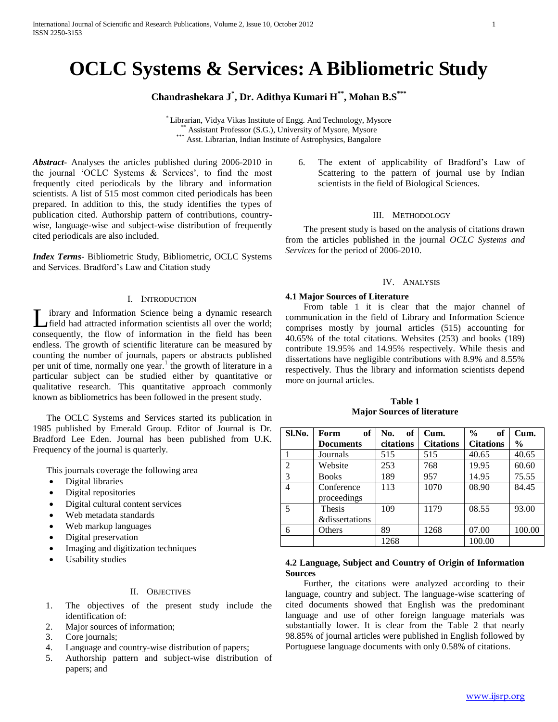# **OCLC Systems & Services: A Bibliometric Study**

# **Chandrashekara J\* , Dr. Adithya Kumari H\*\* , Mohan B.S\*\*\***

\* Librarian, Vidya Vikas Institute of Engg. And Technology, Mysore \*\* Assistant Professor (S.G.), University of Mysore, Mysore \*\*\* Asst. Librarian, Indian Institute of Astrophysics, Bangalore

*Abstract***-** Analyses the articles published during 2006-2010 in the journal 'OCLC Systems & Services', to find the most frequently cited periodicals by the library and information scientists. A list of 515 most common cited periodicals has been prepared. In addition to this, the study identifies the types of publication cited. Authorship pattern of contributions, countrywise, language-wise and subject-wise distribution of frequently cited periodicals are also included.

*Index Terms*- Bibliometric Study, Bibliometric, OCLC Systems and Services. Bradford's Law and Citation study

## I. INTRODUCTION

ibrary and Information Science being a dynamic research field had attracted information scientists all over the world; consequently, the flow of information in the field has been endless. The growth of scientific literature can be measured by counting the number of journals, papers or abstracts published per unit of time, normally one year.<sup>1</sup> the growth of literature in a particular subject can be studied either by quantitative or qualitative research. This quantitative approach commonly known as bibliometrics has been followed in the present study. L

 The OCLC Systems and Services started its publication in 1985 published by Emerald Group. Editor of Journal is Dr. Bradford Lee Eden. Journal has been published from U.K. Frequency of the journal is quarterly.

This journals coverage the following area

- Digital libraries
- Digital repositories
- Digital cultural content services
- Web metadata standards
- Web markup languages
- Digital preservation
- Imaging and digitization techniques
- Usability studies

## II. OBJECTIVES

- 1. The objectives of the present study include the identification of:
- 2. Major sources of information;
- 3. Core journals;
- 4. Language and country-wise distribution of papers;
- 5. Authorship pattern and subject-wise distribution of papers; and

6. The extent of applicability of Bradford's Law of Scattering to the pattern of journal use by Indian scientists in the field of Biological Sciences.

#### III. METHODOLOGY

 The present study is based on the analysis of citations drawn from the articles published in the journal *OCLC Systems and Services* for the period of 2006-2010.

#### IV. ANALYSIS

#### **4.1 Major Sources of Literature**

 From table 1 it is clear that the major channel of communication in the field of Library and Information Science comprises mostly by journal articles (515) accounting for 40.65% of the total citations. Websites (253) and books (189) contribute 19.95% and 14.95% respectively. While thesis and dissertations have negligible contributions with 8.9% and 8.55% respectively. Thus the library and information scientists depend more on journal articles.

**Table 1 Major Sources of literature**

| Sl.No.         | of<br>Form                | of<br>No. | Cum.             | $\frac{0}{0}$<br>of | Cum.          |
|----------------|---------------------------|-----------|------------------|---------------------|---------------|
|                | <b>Documents</b>          | citations | <b>Citations</b> | <b>Citations</b>    | $\frac{0}{0}$ |
|                | Journals                  | 515       | 515              | 40.65               | 40.65         |
| $\overline{2}$ | Website                   | 253       | 768              | 19.95               | 60.60         |
| 3              | <b>Books</b>              | 189       | 957              | 14.95               | 75.55         |
| 4              | Conference                | 113       | 1070             | 08.90               | 84.45         |
|                | proceedings               |           |                  |                     |               |
| 5              | <b>Thesis</b>             | 109       | 1179             | 08.55               | 93.00         |
|                | <i>&amp;dissertations</i> |           |                  |                     |               |
| 6              | Others                    | 89        | 1268             | 07.00               | 100.00        |
|                |                           | 1268      |                  | 100.00              |               |

# **4.2 Language, Subject and Country of Origin of Information Sources**

 Further, the citations were analyzed according to their language, country and subject. The language-wise scattering of cited documents showed that English was the predominant language and use of other foreign language materials was substantially lower. It is clear from the Table 2 that nearly 98.85% of journal articles were published in English followed by Portuguese language documents with only 0.58% of citations.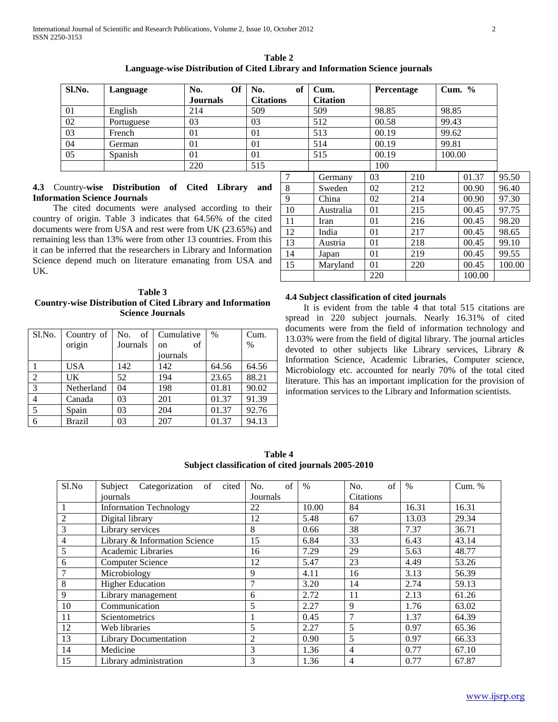| Sl.No. | Language   | No.<br><b>Journals</b> | <b>Of</b> | No.<br><b>Citations</b> | of | Cum.<br><b>Citation</b> |       | Percentage |        | Cum. $\%$ |       |
|--------|------------|------------------------|-----------|-------------------------|----|-------------------------|-------|------------|--------|-----------|-------|
| 01     | English    | 214                    |           | 509                     |    | 509                     | 98.85 |            | 98.85  |           |       |
|        |            |                        |           |                         |    |                         |       |            |        |           |       |
| 02     | Portuguese | 03                     |           | 03                      |    | 512                     | 00.58 |            | 99.43  |           |       |
| 03     | French     | 01                     |           | 01                      |    | 513                     | 00.19 |            | 99.62  |           |       |
| 04     | German     | 01                     |           | 01                      |    | 514                     | 00.19 |            | 99.81  |           |       |
| 05     | Spanish    | 01                     |           | 01                      |    | 515                     | 00.19 |            | 100.00 |           |       |
|        |            | 220                    |           | 515                     |    |                         | 100   |            |        |           |       |
|        |            |                        |           |                         |    | Germany                 | 03    | 210        |        | 01.37     | 95.50 |

# **4.3** Country**-wise Distribution of Cited Library and Information Science Journals**

 The cited documents were analysed according to their country of origin. Table 3 indicates that 64.56% of the cited documents were from USA and rest were from UK (23.65%) and remaining less than 13% were from other 13 countries. From this it can be inferred that the researchers in Library and Information Science depend much on literature emanating from USA and UK.

## **Table 3 Country-wise Distribution of Cited Library and Information Science Journals**

| Sl.No.         | Country of |          | No. of Cumulative        | $\frac{0}{0}$ | Cum.  |
|----------------|------------|----------|--------------------------|---------------|-------|
|                | origin     | Journals | <sub>of</sub><br>$^{on}$ |               | $\%$  |
|                |            |          | journals                 |               |       |
|                | <b>USA</b> | 142      | 142                      | 64.56         | 64.56 |
| $\overline{2}$ | UK         | 52       | 194                      | 23.65         | 88.21 |
| 3              | Netherland | 04       | 198                      | 01.81         | 90.02 |
| $\overline{4}$ | Canada     | 03       | 201                      | 01.37         | 91.39 |
| 5              | Spain      | 03       | 204                      | 01.37         | 92.76 |
| 6              | Brazil     | 03       | 207                      | 01.37         | 94.13 |

|    | 509       | 98.85 |     | 98.85  |        |        |
|----|-----------|-------|-----|--------|--------|--------|
|    | 512       | 00.58 |     | 99.43  |        |        |
|    | 513       | 00.19 |     |        | 99.62  |        |
|    | 514       | 00.19 |     | 99.81  |        |        |
|    | 515       | 00.19 |     | 100.00 |        |        |
|    |           | 100   |     |        |        |        |
| 7  | Germany   | 03    | 210 |        | 01.37  | 95.50  |
| 8  | Sweden    | 02    | 212 |        | 00.90  | 96.40  |
| 9  | China     | 02    | 214 |        | 00.90  | 97.30  |
| 10 | Australia | 01    | 215 |        | 00.45  | 97.75  |
| 11 | Iran      | 01    | 216 |        | 00.45  | 98.20  |
| 12 | India     | 01    | 217 |        | 00.45  | 98.65  |
| 13 | Austria   | 01    | 218 |        | 00.45  | 99.10  |
| 14 | Japan     | 01    | 219 |        | 00.45  | 99.55  |
| 15 | Maryland  | 01    | 220 |        | 00.45  | 100.00 |
|    |           | 220   |     |        | 100.00 |        |

# **4.4 Subject classification of cited journals**

 It is evident from the table 4 that total 515 citations are spread in 220 subject journals. Nearly 16.31% of cited documents were from the field of information technology and 13.03% were from the field of digital library. The journal articles devoted to other subjects like Library services, Library & Information Science, Academic Libraries, Computer science, Microbiology etc. accounted for nearly 70% of the total cited literature. This has an important implication for the provision of information services to the Library and Information scientists.

**Table 4 Subject classification of cited journals 2005-2010**

| Sl.No          | Categorization of<br>Subject<br>cited | of<br>No.      | $\%$  | of<br>No.        | $\%$  | Cum. % |
|----------------|---------------------------------------|----------------|-------|------------------|-------|--------|
|                | iournals                              | Journals       |       | <b>Citations</b> |       |        |
|                | <b>Information Technology</b>         | 22             | 10.00 | 84               | 16.31 | 16.31  |
| $\overline{2}$ | Digital library                       | 12             | 5.48  | 67               | 13.03 | 29.34  |
| $\overline{3}$ | Library services                      | 8              | 0.66  | 38               | 7.37  | 36.71  |
| $\overline{4}$ | Library & Information Science         | 15             | 6.84  | 33               | 6.43  | 43.14  |
| 5              | Academic Libraries                    | 16             | 7.29  | 29               | 5.63  | 48.77  |
| 6              | <b>Computer Science</b>               | 12             | 5.47  | 23               | 4.49  | 53.26  |
| $\tau$         | Microbiology                          | 9              | 4.11  | 16               | 3.13  | 56.39  |
| 8              | <b>Higher Education</b>               | 7              | 3.20  | 14               | 2.74  | 59.13  |
| 9              | Library management                    | 6              | 2.72  | 11               | 2.13  | 61.26  |
| 10             | Communication                         | 5              | 2.27  | 9                | 1.76  | 63.02  |
| 11             | Scientometrics                        |                | 0.45  | 7                | 1.37  | 64.39  |
| 12             | Web libraries                         | 5              | 2.27  | 5                | 0.97  | 65.36  |
| 13             | <b>Library Documentation</b>          | $\overline{2}$ | 0.90  | 5                | 0.97  | 66.33  |
| 14             | Medicine                              | 3              | 1.36  | $\overline{4}$   | 0.77  | 67.10  |
| 15             | Library administration                | 3              | 1.36  | 4                | 0.77  | 67.87  |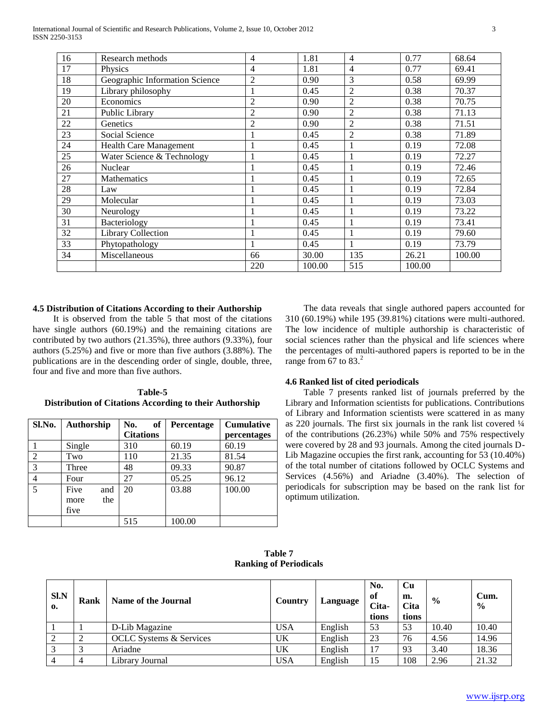| 16 | Research methods               | 4              | 1.81   | $\overline{4}$ | 0.77   | 68.64  |
|----|--------------------------------|----------------|--------|----------------|--------|--------|
| 17 | Physics                        | 4              | 1.81   | $\overline{4}$ | 0.77   | 69.41  |
| 18 | Geographic Information Science | $\overline{c}$ | 0.90   | 3              | 0.58   | 69.99  |
| 19 | Library philosophy             | 1              | 0.45   | $\overline{2}$ | 0.38   | 70.37  |
| 20 | Economics                      | $\overline{2}$ | 0.90   | $\overline{2}$ | 0.38   | 70.75  |
| 21 | Public Library                 | $\overline{2}$ | 0.90   | $\overline{2}$ | 0.38   | 71.13  |
| 22 | Genetics                       | $\overline{2}$ | 0.90   | $\overline{2}$ | 0.38   | 71.51  |
| 23 | Social Science                 | 1              | 0.45   | $\overline{c}$ | 0.38   | 71.89  |
| 24 | Health Care Management         | 1              | 0.45   | 1              | 0.19   | 72.08  |
| 25 | Water Science & Technology     | 1              | 0.45   |                | 0.19   | 72.27  |
| 26 | Nuclear                        |                | 0.45   |                | 0.19   | 72.46  |
| 27 | <b>Mathematics</b>             |                | 0.45   | 1              | 0.19   | 72.65  |
| 28 | Law                            |                | 0.45   |                | 0.19   | 72.84  |
| 29 | Molecular                      |                | 0.45   |                | 0.19   | 73.03  |
| 30 | Neurology                      |                | 0.45   | $\mathbf{1}$   | 0.19   | 73.22  |
| 31 | Bacteriology                   | 1              | 0.45   | 1              | 0.19   | 73.41  |
| 32 | <b>Library Collection</b>      |                | 0.45   | 1              | 0.19   | 79.60  |
| 33 | Phytopathology                 |                | 0.45   | 1              | 0.19   | 73.79  |
| 34 | Miscellaneous                  | 66             | 30.00  | 135            | 26.21  | 100.00 |
|    |                                | 220            | 100.00 | 515            | 100.00 |        |
|    |                                |                |        |                |        |        |

# **4.5 Distribution of Citations According to their Authorship**

 It is observed from the table 5 that most of the citations have single authors (60.19%) and the remaining citations are contributed by two authors (21.35%), three authors (9.33%), four authors (5.25%) and five or more than five authors (3.88%). The publications are in the descending order of single, double, three, four and five and more than five authors.

| Table-5                                                 |  |
|---------------------------------------------------------|--|
| Distribution of Citations According to their Authorship |  |

| Sl.No.         | Authorship  | of<br>No.        | Percentage | <b>Cumulative</b> |
|----------------|-------------|------------------|------------|-------------------|
|                |             | <b>Citations</b> |            | percentages       |
|                | Single      | 310              | 60.19      | 60.19             |
| $\overline{2}$ | Two         | 110              | 21.35      | 81.54             |
| 3              | Three       | 48               | 09.33      | 90.87             |
| 4              | Four        | 27               | 05.25      | 96.12             |
| 5              | Five<br>and | 20               | 03.88      | 100.00            |
|                | the<br>more |                  |            |                   |
|                | five        |                  |            |                   |
|                |             | 515              | 100.00     |                   |

 The data reveals that single authored papers accounted for 310 (60.19%) while 195 (39.81%) citations were multi-authored. The low incidence of multiple authorship is characteristic of social sciences rather than the physical and life sciences where the percentages of multi-authored papers is reported to be in the range from 67 to  $83.<sup>2</sup>$ 

#### **4.6 Ranked list of cited periodicals**

 Table 7 presents ranked list of journals preferred by the Library and Information scientists for publications. Contributions of Library and Information scientists were scattered in as many as 220 journals. The first six journals in the rank list covered ¼ of the contributions (26.23%) while 50% and 75% respectively were covered by 28 and 93 journals. Among the cited journals D-Lib Magazine occupies the first rank, accounting for 53 (10.40%) of the total number of citations followed by OCLC Systems and Services (4.56%) and Ariadne (3.40%). The selection of periodicals for subscription may be based on the rank list for optimum utilization.

**Table 7 Ranking of Periodicals**

| <b>SI.N</b><br>0. | Rank | Name of the Journal            | Country    | Language | No.<br>of<br>Cita-<br>tions | Cu<br>m.<br>Cita<br>tions | $\frac{0}{0}$ | Cum.<br>$\frac{0}{0}$ |
|-------------------|------|--------------------------------|------------|----------|-----------------------------|---------------------------|---------------|-----------------------|
|                   |      | D-Lib Magazine                 | <b>USA</b> | English  | 53                          | 53                        | 10.40         | 10.40                 |
| 2                 |      | <b>OCLC</b> Systems & Services | UK         | English  | 23                          | 76                        | 4.56          | 14.96                 |
| 3                 |      | Ariadne                        | UK         | English  | 17                          | 93                        | 3.40          | 18.36                 |
| $\overline{4}$    |      | Library Journal                | <b>USA</b> | English  | 15                          | 108                       | 2.96          | 21.32                 |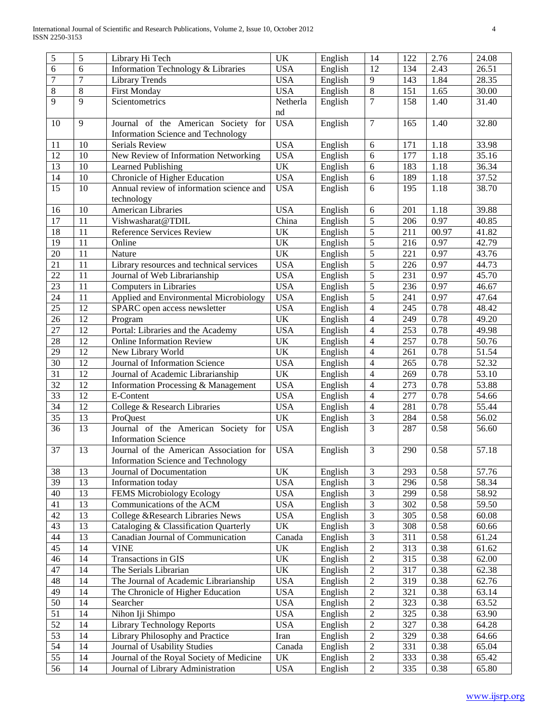| 5                     | 5        | Library Hi Tech                                       | UK              | English | 14                               | 122              | 2.76  | 24.08              |
|-----------------------|----------|-------------------------------------------------------|-----------------|---------|----------------------------------|------------------|-------|--------------------|
| 6                     | 6        | Information Technology & Libraries                    | <b>USA</b>      | English | 12                               | 134              | 2.43  | 26.51              |
| 7                     | $\tau$   | <b>Library Trends</b>                                 | <b>USA</b>      | English | 9                                | 143              | 1.84  | 28.35              |
| 8                     | $8\,$    | <b>First Monday</b>                                   | <b>USA</b>      | English | $\,8\,$                          | 151              | 1.65  | 30.00              |
| 9                     | 9        | Scientometrics                                        | Netherla        | English | $\overline{7}$                   | 158              | 1.40  | 31.40              |
|                       |          |                                                       | nd              |         |                                  |                  |       |                    |
| 10                    | 9        | Journal of the American Society for                   | <b>USA</b>      | English | $\overline{7}$                   | 165              | 1.40  | 32.80              |
|                       |          | Information Science and Technology                    |                 |         |                                  |                  |       |                    |
| 11                    | 10       | Serials Review                                        | <b>USA</b>      | English | 6                                | 171              | 1.18  | 33.98              |
| 12                    | 10       | New Review of Information Networking                  | <b>USA</b>      | English | 6                                | 177              | 1.18  | 35.16              |
| $\overline{13}$       | 10       | Learned Publishing                                    | UK              | English | 6                                | 183              | 1.18  | $\overline{36.34}$ |
| 14                    | 10       | Chronicle of Higher Education                         | <b>USA</b>      | English | 6                                | 189              | 1.18  | 37.52              |
| 15                    | 10       | Annual review of information science and              | <b>USA</b>      | English | 6                                | 195              | 1.18  | 38.70              |
|                       |          | technology                                            |                 |         |                                  |                  |       |                    |
| 16                    | 10       | American Libraries                                    | <b>USA</b>      | English | 6                                | 201              | 1.18  | 39.88              |
| 17                    | 11       | Vishwasharat@TDIL                                     | China           | English | 5                                | 206              | 0.97  | 40.85              |
| 18                    | 11       | Reference Services Review                             | UK              | English | 5                                | 211              | 00.97 | 41.82              |
| 19                    | 11       | Online                                                | UK              | English | 5                                | 216              | 0.97  | 42.79              |
| 20                    | 11       | Nature                                                | UK              | English | 5                                | 221              | 0.97  | 43.76              |
| 21                    | 11       | Library resources and technical services              | <b>USA</b>      | English | $\sqrt{5}$                       | 226              | 0.97  | 44.73              |
| 22                    | 11       | Journal of Web Librarianship                          | <b>USA</b>      | English | $\sqrt{5}$                       | 231              | 0.97  | 45.70              |
| 23                    | 11       | Computers in Libraries                                | <b>USA</b>      | English | $\sqrt{5}$                       | 236              | 0.97  | 46.67              |
| 24                    | 11       | Applied and Environmental Microbiology                | <b>USA</b>      | English | 5                                | 241              | 0.97  | 47.64              |
| 25                    | 12       |                                                       | <b>USA</b>      | English | $\overline{4}$                   | 245              | 0.78  | 48.42              |
| 26                    |          | SPARC open access newsletter                          | UK              |         | $\overline{4}$                   |                  |       |                    |
|                       | 12       | Program                                               |                 | English |                                  | 249              | 0.78  | 49.20              |
| $27\,$                | 12       | Portal: Libraries and the Academy                     | <b>USA</b>      | English | $\overline{4}$                   | 253              | 0.78  | 49.98              |
| 28                    | 12       | <b>Online Information Review</b>                      | UK              | English | $\overline{4}$                   | 257              | 0.78  | 50.76              |
| 29                    | 12       | New Library World                                     | UK              | English | $\overline{4}$                   | 261              | 0.78  | 51.54              |
| 30                    | 12       | Journal of Information Science                        | <b>USA</b>      | English | $\overline{4}$                   | 265              | 0.78  | 52.32              |
| 31                    | 12       | Journal of Academic Librarianship                     | UK              | English | $\overline{4}$                   | 269              | 0.78  | 53.10              |
| 32                    | 12       | Information Processing & Management                   | <b>USA</b>      | English | $\overline{4}$                   | 273              | 0.78  | 53.88              |
| 33                    | 12       | E-Content                                             | <b>USA</b>      | English | $\overline{4}$                   | 277              | 0.78  | 54.66              |
| 34                    | 12       | College & Research Libraries                          | <b>USA</b>      | English | $\overline{4}$                   | 281              | 0.78  | 55.44              |
| 35                    | 13       | ProQuest                                              | UK              | English | $\mathfrak{Z}$                   | 284              | 0.58  | 56.02              |
| 36                    | 13       | Journal of the American Society for                   | <b>USA</b>      | English | $\mathfrak{Z}$                   | 287              | 0.58  | 56.60              |
|                       |          | <b>Information Science</b>                            |                 |         |                                  |                  |       |                    |
| 37                    | 13       | Journal of the American Association for               | <b>USA</b>      | English | $\mathfrak{Z}$                   | 290              | 0.58  | 57.18              |
|                       |          | Information Science and Technology                    |                 |         |                                  |                  |       |                    |
| 38<br>$\overline{39}$ | 13<br>13 | Journal of Documentation                              | <b>UK</b>       | English | $\mathfrak{Z}$<br>$\overline{3}$ | 293              | 0.58  | 57.76              |
| $\overline{40}$       | 13       | Information today<br><b>FEMS Microbiology Ecology</b> | <b>USA</b>      | English | $\overline{3}$                   | 296              | 0.58  | 58.34              |
|                       |          |                                                       | <b>USA</b>      | English |                                  | 299              | 0.58  | 58.92              |
| 41<br>42              | 13<br>13 | Communications of the ACM                             | <b>USA</b>      | English | $\overline{3}$<br>$\overline{3}$ | 302              | 0.58  | 59.50              |
|                       |          | College &Research Libraries News                      | <b>USA</b>      | English |                                  | 305              | 0.58  | 60.08              |
| $\overline{43}$       | 13       | Cataloging & Classification Quarterly                 | UK              | English | $\overline{3}$                   | 308              | 0.58  | 60.66              |
| 44<br>$\overline{45}$ | 13<br>14 | Canadian Journal of Communication                     | Canada<br>UK    | English | $\overline{3}$<br>$\overline{2}$ | 311              | 0.58  | 61.24              |
|                       |          | <b>VINE</b>                                           |                 | English |                                  | 313              | 0.38  | 61.62              |
| $\overline{46}$       | 14       | Transactions in GIS                                   | $\overline{UK}$ | English | $\overline{2}$                   | 315              | 0.38  | 62.00              |
| 47                    | 14       | The Serials Librarian                                 | <b>UK</b>       | English | $\overline{2}$                   | 317              | 0.38  | 62.38              |
| $\overline{48}$       | 14       | The Journal of Academic Librarianship                 | <b>USA</b>      | English | $\overline{2}$                   | 319              | 0.38  | 62.76              |
| $\overline{49}$       | 14       | The Chronicle of Higher Education                     | <b>USA</b>      | English | $\overline{2}$                   | 321              | 0.38  | 63.14              |
| $\overline{50}$       | 14       | Searcher                                              | <b>USA</b>      | English | $\overline{2}$                   | 323              | 0.38  | 63.52              |
| $\overline{51}$       | 14       | Nihon Iji Shimpo                                      | <b>USA</b>      | English | $\overline{2}$                   | 325              | 0.38  | 63.90              |
| $\overline{52}$       | 14       | <b>Library Technology Reports</b>                     | <b>USA</b>      | English | $\overline{2}$                   | 327              | 0.38  | 64.28              |
| 53                    | 14       | Library Philosophy and Practice                       | Iran            | English | $\overline{2}$                   | 329              | 0.38  | 64.66              |
| 54                    | 14       | Journal of Usability Studies                          | Canada          | English | $\overline{2}$                   | 331              | 0.38  | 65.04              |
| 55                    | 14       | Journal of the Royal Society of Medicine              | UK              | English | $\overline{2}$                   | 333              | 0.38  | 65.42              |
| 56                    | 14       | Journal of Library Administration                     | <b>USA</b>      | English | $\overline{2}$                   | $\overline{335}$ | 0.38  | 65.80              |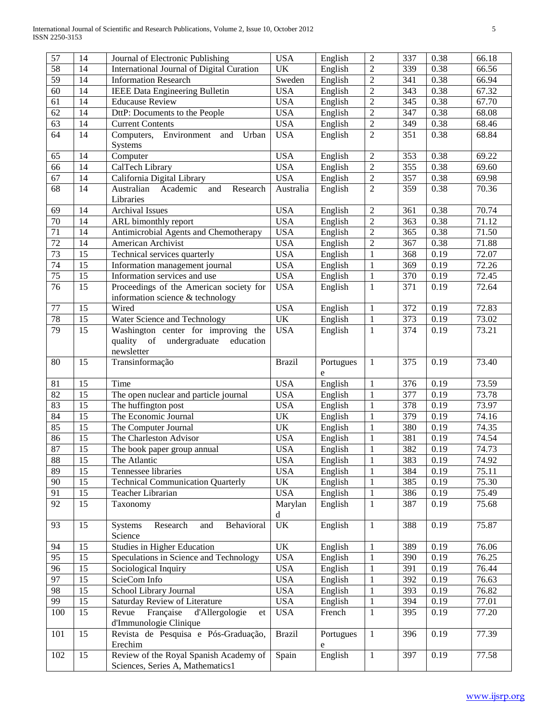| 57              | 14 | Journal of Electronic Publishing           | <b>USA</b>                        | English   | $\overline{2}$ | 337 | 0.38 | 66.18 |
|-----------------|----|--------------------------------------------|-----------------------------------|-----------|----------------|-----|------|-------|
| 58              | 14 | International Journal of Digital Curation  | <b>UK</b>                         | English   | $\overline{2}$ | 339 | 0.38 | 66.56 |
| $\overline{59}$ | 14 | <b>Information Research</b>                | Sweden                            | English   | $\overline{2}$ | 341 | 0.38 | 66.94 |
| 60              | 14 | <b>IEEE Data Engineering Bulletin</b>      | <b>USA</b>                        | English   | $\overline{2}$ | 343 | 0.38 | 67.32 |
| 61              | 14 | <b>Educause Review</b>                     | <b>USA</b>                        | English   | $\overline{2}$ | 345 | 0.38 | 67.70 |
| 62              | 14 | DttP: Documents to the People              | <b>USA</b>                        | English   | $\overline{2}$ | 347 | 0.38 | 68.08 |
| 63              | 14 | <b>Current Contents</b>                    | <b>USA</b>                        | English   | $\overline{2}$ | 349 | 0.38 | 68.46 |
| 64              | 14 | Computers,<br>Environment<br>Urban<br>and  | <b>USA</b>                        | English   | $\overline{2}$ | 351 | 0.38 | 68.84 |
|                 |    | Systems                                    |                                   |           |                |     |      |       |
| 65              | 14 | Computer                                   | <b>USA</b>                        | English   | $\overline{2}$ | 353 | 0.38 | 69.22 |
| 66              | 14 | CalTech Library                            | <b>USA</b>                        | English   | $\sqrt{2}$     | 355 | 0.38 | 69.60 |
| 67              | 14 | California Digital Library                 | <b>USA</b>                        | English   | $\sqrt{2}$     | 357 | 0.38 | 69.98 |
| 68              | 14 | Australian<br>Academic<br>and<br>Research  | Australia                         | English   | $\sqrt{2}$     | 359 | 0.38 | 70.36 |
|                 |    | Libraries                                  |                                   |           |                |     |      |       |
| 69              | 14 | <b>Archival Issues</b>                     | <b>USA</b>                        | English   | $\overline{2}$ | 361 | 0.38 | 70.74 |
| $\overline{70}$ | 14 | ARL bimonthly report                       | <b>USA</b>                        | English   | $\overline{2}$ | 363 | 0.38 | 71.12 |
| $\overline{71}$ | 14 | Antimicrobial Agents and Chemotherapy      | <b>USA</b>                        | English   | $\overline{2}$ | 365 | 0.38 | 71.50 |
| $\overline{72}$ | 14 | American Archivist                         | <b>USA</b>                        | English   | $\overline{2}$ | 367 | 0.38 | 71.88 |
| 73              | 15 | Technical services quarterly               | <b>USA</b>                        | English   | $\mathbf{1}$   | 368 | 0.19 | 72.07 |
| $\overline{74}$ | 15 | Information management journal             | <b>USA</b>                        | English   | $\mathbf{1}$   | 369 | 0.19 | 72.26 |
| 75              | 15 | Information services and use               | <b>USA</b>                        | English   | $\,1\,$        | 370 | 0.19 | 72.45 |
| 76              | 15 | Proceedings of the American society for    | <b>USA</b>                        | English   | $\mathbf{1}$   | 371 | 0.19 | 72.64 |
|                 |    | information science & technology           |                                   |           |                |     |      |       |
| 77              | 15 | Wired                                      | <b>USA</b>                        | English   | $\mathbf{1}$   | 372 | 0.19 | 72.83 |
| 78              | 15 | Water Science and Technology               | UK                                | English   | $\mathbf{1}$   | 373 | 0.19 | 73.02 |
| 79              | 15 | Washington center for improving the        | <b>USA</b>                        | English   | $\mathbf{1}$   | 374 | 0.19 | 73.21 |
|                 |    | quality of undergraduate<br>education      |                                   |           |                |     |      |       |
|                 |    | newsletter                                 |                                   |           |                |     |      |       |
| 80              | 15 | Transinformação                            | <b>Brazil</b>                     | Portugues | 1              | 375 | 0.19 | 73.40 |
|                 |    |                                            |                                   | e         |                |     |      |       |
| 81              | 15 | Time                                       | <b>USA</b>                        | English   | $\mathbf{1}$   | 376 | 0.19 | 73.59 |
| 82              | 15 | The open nuclear and particle journal      | <b>USA</b>                        | English   | $\mathbf{1}$   | 377 | 0.19 | 73.78 |
| 83              | 15 | The huffington post                        | <b>USA</b>                        | English   | $\mathbf{1}$   | 378 | 0.19 | 73.97 |
| 84              | 15 | The Economic Journal                       | UK                                | English   | $\mathbf{1}$   | 379 | 0.19 | 74.16 |
| 85              | 15 | The Computer Journal                       | UK                                | English   | $\mathbf{1}$   | 380 | 0.19 | 74.35 |
| 86              | 15 | The Charleston Advisor                     | <b>USA</b>                        | English   | $\mathbf{1}$   | 381 | 0.19 | 74.54 |
| 87              | 15 | The book paper group annual                | <b>USA</b>                        | English   | $\mathbf{1}$   | 382 | 0.19 | 74.73 |
| 88              | 15 | The Atlantic                               | <b>USA</b>                        | English   | $\,1\,$        | 383 | 0.19 | 74.92 |
| 89              | 15 | Tennessee libraries                        | <b>USA</b>                        | English   | 1              | 384 | 0.19 | 75.11 |
| 90              | 15 | <b>Technical Communication Quarterly</b>   | UK                                | English   | $\mathbf{1}$   | 385 | 0.19 | 75.30 |
| 91              | 15 | Teacher Librarian                          | <b>USA</b>                        | English   | $\,1\,$        | 386 | 0.19 | 75.49 |
| 92              | 15 | Taxonomy                                   | Marylan                           | English   | $\mathbf{1}$   | 387 | 0.19 | 75.68 |
|                 |    |                                            | d                                 |           |                |     |      |       |
| 93              | 15 | Behavioral<br>Systems<br>Research<br>and   | $\ensuremath{\mathrm{UK}}\xspace$ | English   | $\mathbf{1}$   | 388 | 0.19 | 75.87 |
|                 |    | Science                                    |                                   |           |                |     |      |       |
| 94              | 15 | Studies in Higher Education                | UK                                | English   | $\mathbf{1}$   | 389 | 0.19 | 76.06 |
| 95              | 15 | Speculations in Science and Technology     | <b>USA</b>                        | English   | $\mathbf{1}$   | 390 | 0.19 | 76.25 |
| 96              | 15 | Sociological Inquiry                       | <b>USA</b>                        | English   | $\mathbf{1}$   | 391 | 0.19 | 76.44 |
| 97              | 15 | ScieCom Info                               | <b>USA</b>                        | English   | $\mathbf{1}$   | 392 | 0.19 | 76.63 |
| 98              | 15 | School Library Journal                     | <b>USA</b>                        | English   | $\mathbf{1}$   | 393 | 0.19 | 76.82 |
| 99              | 15 | Saturday Review of Literature              | <b>USA</b>                        | English   | $\mathbf{1}$   | 394 | 0.19 | 77.01 |
| 100             | 15 | Revue<br>Française<br>d'Allergologie<br>et | <b>USA</b>                        | French    | $\mathbf{1}$   | 395 | 0.19 | 77.20 |
|                 |    | d'Immunologie Clinique                     |                                   |           |                |     |      |       |
| 101             | 15 | Revista de Pesquisa e Pós-Graduação,       | <b>Brazil</b>                     | Portugues | $\mathbf{1}$   | 396 | 0.19 | 77.39 |
|                 |    | Erechim                                    |                                   | e         |                |     |      |       |
| 102             | 15 | Review of the Royal Spanish Academy of     | Spain                             | English   | $\mathbf{1}$   | 397 | 0.19 | 77.58 |
|                 |    | Sciences, Series A, Mathematics1           |                                   |           |                |     |      |       |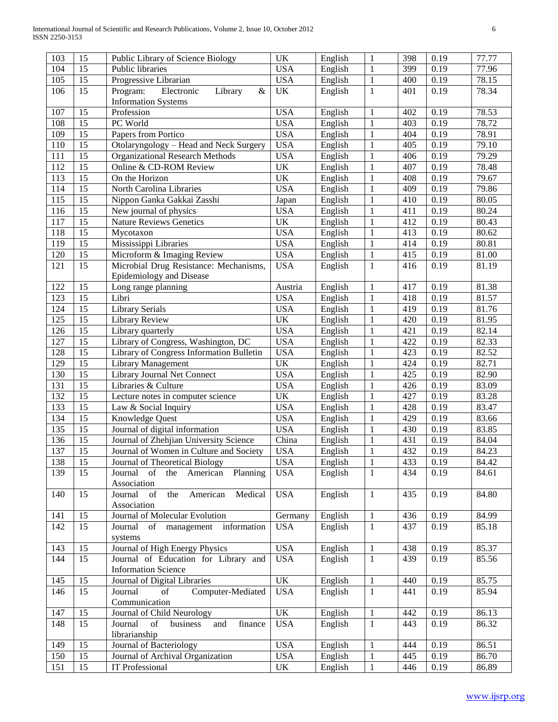| 103 | 15              | Public Library of Science Biology                                                                                                            | <b>UK</b>                         | English | $\mathbf{1}$ | 398 | 0.19 | 77.77 |
|-----|-----------------|----------------------------------------------------------------------------------------------------------------------------------------------|-----------------------------------|---------|--------------|-----|------|-------|
| 104 | 15              | Public libraries                                                                                                                             | <b>USA</b>                        | English | $\mathbf{1}$ | 399 | 0.19 | 77.96 |
| 105 | 15              | Progressive Librarian                                                                                                                        | <b>USA</b>                        | English | $\mathbf{1}$ | 400 | 0.19 | 78.15 |
| 106 | 15              | Program:<br>Electronic<br>Library<br>&                                                                                                       | UK                                | English | $\mathbf{1}$ | 401 | 0.19 | 78.34 |
|     |                 | <b>Information Systems</b>                                                                                                                   |                                   |         |              |     |      |       |
| 107 | 15              | Profession                                                                                                                                   | <b>USA</b>                        | English | $\mathbf{1}$ | 402 | 0.19 | 78.53 |
| 108 | 15              | PC World                                                                                                                                     | <b>USA</b>                        | English | $\mathbf{1}$ | 403 | 0.19 | 78.72 |
| 109 | 15              | Papers from Portico                                                                                                                          | <b>USA</b>                        | English | $\mathbf{1}$ | 404 | 0.19 | 78.91 |
| 110 | 15              | Otolaryngology - Head and Neck Surgery                                                                                                       | <b>USA</b>                        | English | $\mathbf{1}$ | 405 | 0.19 | 79.10 |
| 111 | 15              | <b>Organizational Research Methods</b>                                                                                                       | <b>USA</b>                        | English | $\mathbf{1}$ | 406 | 0.19 | 79.29 |
| 112 | 15              | Online & CD-ROM Review                                                                                                                       | UK                                |         |              | 407 |      |       |
|     | 15              |                                                                                                                                              | UK                                | English | $\mathbf{1}$ |     | 0.19 | 78.48 |
| 113 | 15              | On the Horizon                                                                                                                               |                                   | English | $\mathbf{1}$ | 408 | 0.19 | 79.67 |
| 114 |                 | North Carolina Libraries                                                                                                                     | <b>USA</b>                        | English | $\mathbf{1}$ | 409 | 0.19 | 79.86 |
| 115 | 15              | Nippon Ganka Gakkai Zasshi                                                                                                                   | Japan                             | English | $\mathbf{1}$ | 410 | 0.19 | 80.05 |
| 116 | 15              | New journal of physics                                                                                                                       | <b>USA</b>                        | English | $\mathbf{1}$ | 411 | 0.19 | 80.24 |
| 117 | 15              | Nature Reviews Genetics                                                                                                                      | UK                                | English | $\mathbf{1}$ | 412 | 0.19 | 80.43 |
| 118 | 15              | Mycotaxon                                                                                                                                    | <b>USA</b>                        | English | $\mathbf{1}$ | 413 | 0.19 | 80.62 |
| 119 | 15              | Mississippi Libraries                                                                                                                        | <b>USA</b>                        | English | $\mathbf{1}$ | 414 | 0.19 | 80.81 |
| 120 | 15              | Microform & Imaging Review                                                                                                                   | <b>USA</b>                        | English | $\mathbf{1}$ | 415 | 0.19 | 81.00 |
| 121 | 15              | Microbial Drug Resistance: Mechanisms,                                                                                                       | <b>USA</b>                        | English | $\mathbf{1}$ | 416 | 0.19 | 81.19 |
|     |                 | Epidemiology and Disease                                                                                                                     |                                   |         |              |     |      |       |
| 122 | 15              | Long range planning                                                                                                                          | Austria                           | English | $\,1\,$      | 417 | 0.19 | 81.38 |
| 123 | 15              | Libri                                                                                                                                        | <b>USA</b>                        | English | $\mathbf{1}$ | 418 | 0.19 | 81.57 |
| 124 | 15              | <b>Library Serials</b>                                                                                                                       | <b>USA</b>                        | English | $\mathbf{1}$ | 419 | 0.19 | 81.76 |
| 125 | 15              | Library Review                                                                                                                               | UK                                | English | $\mathbf{1}$ | 420 | 0.19 | 81.95 |
| 126 | 15              | Library quarterly                                                                                                                            | <b>USA</b>                        | English | $\mathbf{1}$ | 421 | 0.19 | 82.14 |
| 127 | 15              | Library of Congress, Washington, DC                                                                                                          | <b>USA</b>                        | English | $\mathbf{1}$ | 422 | 0.19 | 82.33 |
| 128 | 15              | Library of Congress Information Bulletin                                                                                                     | <b>USA</b>                        | English | $\mathbf{1}$ | 423 | 0.19 | 82.52 |
| 129 | 15              | <b>Library Management</b>                                                                                                                    | <b>UK</b>                         | English | $\mathbf{1}$ | 424 | 0.19 | 82.71 |
| 130 | 15              | Library Journal Net Connect                                                                                                                  | <b>USA</b>                        | English | $\mathbf{1}$ | 425 | 0.19 | 82.90 |
| 131 | 15              | Libraries & Culture                                                                                                                          | <b>USA</b>                        | English | $\mathbf{1}$ | 426 | 0.19 | 83.09 |
| 132 | 15              | Lecture notes in computer science                                                                                                            | $\ensuremath{\mathrm{UK}}\xspace$ | English | $\mathbf{1}$ | 427 | 0.19 | 83.28 |
| 133 | 15              | Law & Social Inquiry                                                                                                                         | <b>USA</b>                        | English | $\mathbf{1}$ | 428 | 0.19 | 83.47 |
| 134 | 15              | Knowledge Quest                                                                                                                              | <b>USA</b>                        | English | $\mathbf{1}$ | 429 | 0.19 | 83.66 |
| 135 | 15              | Journal of digital information                                                                                                               | <b>USA</b>                        | English | $\mathbf{1}$ | 430 | 0.19 | 83.85 |
| 136 | 15              | Journal of Zhehjian University Science                                                                                                       | China                             | English | $\mathbf{1}$ | 431 | 0.19 | 84.04 |
| 137 | 15              | Journal of Women in Culture and Society                                                                                                      | <b>USA</b>                        | English | $\mathbf 1$  | 432 | 0.19 | 84.23 |
| 138 | $\overline{15}$ | Journal of Theoretical Biology                                                                                                               | <b>USA</b>                        | English | $\,1\,$      | 433 | 0.19 | 84.42 |
| 139 | 15              | $% \left( \left( \mathcal{A},\mathcal{A}\right) \right) =\left( \mathcal{A},\mathcal{A}\right)$ of<br>Journal<br>American<br>Planning<br>the | <b>USA</b>                        | English | $\mathbf{1}$ | 434 | 0.19 | 84.61 |
|     |                 | Association                                                                                                                                  |                                   |         |              |     |      |       |
| 140 | 15              | Journal<br>$% \left( \left( \mathcal{A},\mathcal{A}\right) \right) =\left( \mathcal{A},\mathcal{A}\right)$ of<br>American<br>Medical<br>the  | <b>USA</b>                        | English | $\,1\,$      | 435 | 0.19 | 84.80 |
|     |                 | Association                                                                                                                                  |                                   |         |              |     |      |       |
| 141 | 15              | Journal of Molecular Evolution                                                                                                               | Germany                           | English | $\,1\,$      | 436 | 0.19 | 84.99 |
| 142 | 15              | Journal<br>management information<br>of                                                                                                      | <b>USA</b>                        | English | $\mathbf{1}$ | 437 | 0.19 | 85.18 |
|     |                 | systems                                                                                                                                      |                                   |         |              |     |      |       |
| 143 | 15              | Journal of High Energy Physics                                                                                                               | <b>USA</b>                        | English | $\mathbf{1}$ | 438 | 0.19 | 85.37 |
| 144 | $\overline{15}$ | Journal of Education for Library and                                                                                                         | <b>USA</b>                        | English | $\mathbf{1}$ | 439 | 0.19 | 85.56 |
|     |                 | <b>Information Science</b>                                                                                                                   |                                   |         |              |     |      |       |
| 145 | 15              | Journal of Digital Libraries                                                                                                                 | UK                                | English | $\mathbf{1}$ | 440 | 0.19 | 85.75 |
| 146 | 15              | Computer-Mediated<br>Journal<br>of                                                                                                           | <b>USA</b>                        | English | $\mathbf{1}$ | 441 | 0.19 | 85.94 |
|     |                 | Communication                                                                                                                                |                                   |         |              |     |      |       |
| 147 | 15              | Journal of Child Neurology                                                                                                                   | UK                                | English | $\,1\,$      | 442 | 0.19 | 86.13 |
| 148 | 15              | finance<br>Journal<br>of<br>and<br>business                                                                                                  | <b>USA</b>                        | English | $\mathbf{1}$ | 443 | 0.19 | 86.32 |
|     |                 | librarianship                                                                                                                                |                                   |         |              |     |      |       |
| 149 | 15              | Journal of Bacteriology                                                                                                                      | <b>USA</b>                        | English | $\mathbf{1}$ | 444 | 0.19 | 86.51 |
| 150 | 15              | Journal of Archival Organization                                                                                                             | <b>USA</b>                        | English | $\mathbf{1}$ | 445 | 0.19 | 86.70 |
| 151 | 15              | IT Professional                                                                                                                              | UK                                | English | $\mathbf{1}$ | 446 | 0.19 | 86.89 |
|     |                 |                                                                                                                                              |                                   |         |              |     |      |       |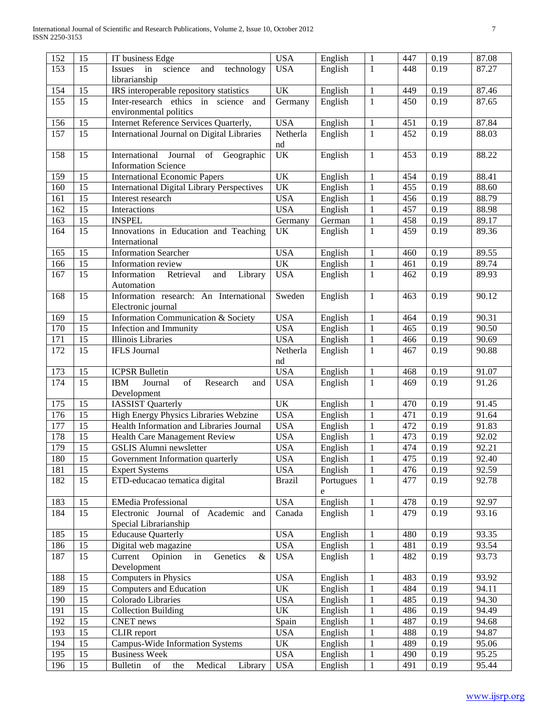| 153<br><b>USA</b><br>$\overline{\mathrm{English}}$<br>15<br>Issues<br>in<br>science<br>technology<br>1<br>448<br>0.19<br>87.27<br>and<br>librarianship<br>154<br>IRS interoperable repository statistics<br>UK<br>0.19<br>15<br>English<br>$\mathbf{1}$<br>449<br>87.46<br>155<br>15<br>Germany<br>English<br>$\mathbf{1}$<br>0.19<br>87.65<br>Inter-research ethics in science and<br>450<br>environmental politics<br>156<br>15<br>Internet Reference Services Quarterly,<br><b>USA</b><br>English<br>$\,1\,$<br>0.19<br>451<br>87.84<br>157<br>15<br>International Journal on Digital Libraries<br>Netherla<br>English<br>$\mathbf{1}$<br>452<br>0.19<br>88.03<br>nd<br>UK<br>English<br>$\mathbf{1}$<br>0.19<br>158<br>15<br>Geographic<br>453<br>88.22<br>International<br>Journal<br>of<br><b>Information Science</b><br><b>UK</b><br>159<br>15<br><b>International Economic Papers</b><br>English<br>$\mathbf{1}$<br>0.19<br>88.41<br>454<br>$\overline{15}$<br><b>UK</b><br>$\mathbf{1}$<br>88.60<br>160<br><b>International Digital Library Perspectives</b><br>English<br>455<br>0.19<br>$\overline{15}$<br><b>USA</b><br>161<br>English<br>$\mathbf{1}$<br>456<br>0.19<br>88.79<br>Interest research<br>$\overline{15}$<br><b>USA</b><br>162<br>English<br>$\mathbf{1}$<br>457<br>0.19<br>88.98<br>Interactions<br>$\mathbf 1$<br>163<br>15<br><b>INSPEL</b><br>Germany<br>German<br>458<br>0.19<br>89.17<br>15<br>$\mathbf{1}$<br>164<br><b>UK</b><br>English<br>0.19<br>89.36<br>Innovations in Education and Teaching<br>459<br>International<br><b>USA</b><br>165<br>15<br><b>Information Searcher</b><br>English<br>$\mathbf{1}$<br>0.19<br>89.55<br>460<br>$\overline{15}$<br><b>UK</b><br>$\mathbf 1$<br>166<br>English<br>461<br>0.19<br>89.74<br>Information review<br><b>USA</b><br>167<br>15<br>$\mathbf{1}$<br>0.19<br>89.93<br>Information<br>Retrieval<br>Library<br>English<br>462<br>and<br>Automation<br>15<br>English<br>0.19<br>168<br>Information research: An International<br>Sweden<br>$\mathbf{1}$<br>90.12<br>463<br>Electronic journal<br><b>USA</b><br>15<br>Information Communication & Society<br>$\mathbf{1}$<br>0.19<br>90.31<br>169<br>English<br>464<br><b>USA</b><br>15<br>$\mathbf{1}$<br>170<br>English<br>0.19<br>90.50<br>Infection and Immunity<br>465<br><b>Illinois</b> Libraries<br><b>USA</b><br>$\mathbf 1$<br>171<br>15<br>English<br>0.19<br>90.69<br>466<br>15<br>172<br><b>IFLS Journal</b><br>$\mathbf{1}$<br>0.19<br>Netherla<br>English<br>467<br>90.88<br>nd<br><b>USA</b><br>173<br>15<br>English<br>$\mathbf{1}$<br>0.19<br><b>ICPSR Bulletin</b><br>468<br>91.07<br>15<br>174<br>of<br><b>USA</b><br>$\mathbf{1}$<br>0.19<br><b>IBM</b><br>Journal<br>Research<br>English<br>469<br>91.26<br>and<br>Development<br>15<br>UK<br>0.19<br>175<br><b>IASSIST Quarterly</b><br>$\mathbf{1}$<br>470<br>91.45<br>English<br><b>USA</b><br>176<br>15<br>High Energy Physics Libraries Webzine<br>$\mathbf{1}$<br>0.19<br>English<br>471<br>91.64<br>177<br>15<br>Health Information and Libraries Journal<br><b>USA</b><br>English<br>$\mathbf{1}$<br>472<br>0.19<br>91.83<br>178<br>15<br><b>USA</b><br>Health Care Management Review<br>English<br>$\mathbf{1}$<br>473<br>0.19<br>92.02<br>179<br>15<br><b>USA</b><br>$\mathbf{1}$<br>0.19<br>GSLIS Alumni newsletter<br>474<br>92.21<br>English<br>15<br>$\overline{1}$<br>180<br><b>USA</b><br>475<br>0.19<br>English<br>92.40<br>Government Information quarterly<br>181<br><b>USA</b><br>1<br>92.59<br>15<br>476<br>0.19<br>English<br><b>Expert Systems</b><br>ETD-educacao tematica digital<br>182<br>15<br>$\mathbf{1}$<br>477<br>0.19<br>92.78<br><b>Brazil</b><br>Portugues<br>e<br>English<br>183<br><b>USA</b><br>$\mathbf{1}$<br>478<br>0.19<br>92.97<br>15<br><b>EMedia Professional</b><br>15<br>Electronic Journal of Academic and<br>$\mathbf{1}$<br>479<br>0.19<br>184<br>Canada<br>English<br>93.16<br>Special Librarianship<br><b>USA</b><br>185<br>15<br><b>Educause Quarterly</b><br>English<br>$\mathbf{1}$<br>480<br>0.19<br>93.35<br>186<br>15<br><b>USA</b><br>0.19<br>Digital web magazine<br>English<br>$\mathbf{1}$<br>481<br>93.54<br>187<br><b>USA</b><br>0.19<br>15<br>Current Opinion<br>Genetics<br>English<br>$\mathbf{1}$<br>482<br>93.73<br>$\&$<br>in<br>Development<br>Computers in Physics<br>188<br>15<br><b>USA</b><br>English<br>$\mathbf{1}$<br>483<br>0.19<br>93.92<br>UK<br>189<br>15<br>English<br>484<br>0.19<br>94.11<br>Computers and Education<br>$\mathbf{1}$<br>190<br>15<br>Colorado Libraries<br><b>USA</b><br>English<br>$\mathbf{1}$<br>485<br>0.19<br>94.30<br>UK<br>191<br>15<br>$\mathbf{1}$<br>0.19<br>94.49<br><b>Collection Building</b><br>English<br>486<br>192<br>15<br><b>CNET</b> news<br>Spain<br>487<br>0.19<br>94.68<br>English<br>$\mathbf{1}$<br>193<br>15<br><b>USA</b><br>$\mathbf{1}$<br>488<br>0.19<br>94.87<br>CLIR report<br>English<br>Campus-Wide Information Systems<br>UK<br>English<br>0.19<br>194<br>15<br>$\mathbf{1}$<br>489<br>95.06<br>195<br>15<br><b>Business Week</b><br><b>USA</b><br>English<br>0.19<br>95.25<br>$\mathbf{1}$<br>490<br>196<br>15<br><b>Bulletin</b><br>of<br>Medical<br><b>USA</b><br>English<br>$\mathbf{1}$<br>491<br>0.19<br>95.44<br>Library<br>the | 152 | 15 | IT business Edge | <b>USA</b> | English | 1 | 447 | 0.19 | 87.08 |
|-----------------------------------------------------------------------------------------------------------------------------------------------------------------------------------------------------------------------------------------------------------------------------------------------------------------------------------------------------------------------------------------------------------------------------------------------------------------------------------------------------------------------------------------------------------------------------------------------------------------------------------------------------------------------------------------------------------------------------------------------------------------------------------------------------------------------------------------------------------------------------------------------------------------------------------------------------------------------------------------------------------------------------------------------------------------------------------------------------------------------------------------------------------------------------------------------------------------------------------------------------------------------------------------------------------------------------------------------------------------------------------------------------------------------------------------------------------------------------------------------------------------------------------------------------------------------------------------------------------------------------------------------------------------------------------------------------------------------------------------------------------------------------------------------------------------------------------------------------------------------------------------------------------------------------------------------------------------------------------------------------------------------------------------------------------------------------------------------------------------------------------------------------------------------------------------------------------------------------------------------------------------------------------------------------------------------------------------------------------------------------------------------------------------------------------------------------------------------------------------------------------------------------------------------------------------------------------------------------------------------------------------------------------------------------------------------------------------------------------------------------------------------------------------------------------------------------------------------------------------------------------------------------------------------------------------------------------------------------------------------------------------------------------------------------------------------------------------------------------------------------------------------------------------------------------------------------------------------------------------------------------------------------------------------------------------------------------------------------------------------------------------------------------------------------------------------------------------------------------------------------------------------------------------------------------------------------------------------------------------------------------------------------------------------------------------------------------------------------------------------------------------------------------------------------------------------------------------------------------------------------------------------------------------------------------------------------------------------------------------------------------------------------------------------------------------------------------------------------------------------------------------------------------------------------------------------------------------------------------------------------------------------------------------------------------------------------------------------------------------------------------------------------------------------------------------------------------------------------------------------------------------------------------------------------------------------------------------------------------------------------------------------------------------------------------------------------------------------------------------------------------------------------------------------------------------------------------------------------------------------------------------------------------------------------------------------------------------------------------------------------------------------------------------------------------------------------------------------------------------------------------------------------------------------------------------------------------------------------------------------------------------------------------|-----|----|------------------|------------|---------|---|-----|------|-------|
|                                                                                                                                                                                                                                                                                                                                                                                                                                                                                                                                                                                                                                                                                                                                                                                                                                                                                                                                                                                                                                                                                                                                                                                                                                                                                                                                                                                                                                                                                                                                                                                                                                                                                                                                                                                                                                                                                                                                                                                                                                                                                                                                                                                                                                                                                                                                                                                                                                                                                                                                                                                                                                                                                                                                                                                                                                                                                                                                                                                                                                                                                                                                                                                                                                                                                                                                                                                                                                                                                                                                                                                                                                                                                                                                                                                                                                                                                                                                                                                                                                                                                                                                                                                                                                                                                                                                                                                                                                                                                                                                                                                                                                                                                                                                                                                                                                                                                                                                                                                                                                                                                                                                                                                                                                                                                   |     |    |                  |            |         |   |     |      |       |
|                                                                                                                                                                                                                                                                                                                                                                                                                                                                                                                                                                                                                                                                                                                                                                                                                                                                                                                                                                                                                                                                                                                                                                                                                                                                                                                                                                                                                                                                                                                                                                                                                                                                                                                                                                                                                                                                                                                                                                                                                                                                                                                                                                                                                                                                                                                                                                                                                                                                                                                                                                                                                                                                                                                                                                                                                                                                                                                                                                                                                                                                                                                                                                                                                                                                                                                                                                                                                                                                                                                                                                                                                                                                                                                                                                                                                                                                                                                                                                                                                                                                                                                                                                                                                                                                                                                                                                                                                                                                                                                                                                                                                                                                                                                                                                                                                                                                                                                                                                                                                                                                                                                                                                                                                                                                                   |     |    |                  |            |         |   |     |      |       |
|                                                                                                                                                                                                                                                                                                                                                                                                                                                                                                                                                                                                                                                                                                                                                                                                                                                                                                                                                                                                                                                                                                                                                                                                                                                                                                                                                                                                                                                                                                                                                                                                                                                                                                                                                                                                                                                                                                                                                                                                                                                                                                                                                                                                                                                                                                                                                                                                                                                                                                                                                                                                                                                                                                                                                                                                                                                                                                                                                                                                                                                                                                                                                                                                                                                                                                                                                                                                                                                                                                                                                                                                                                                                                                                                                                                                                                                                                                                                                                                                                                                                                                                                                                                                                                                                                                                                                                                                                                                                                                                                                                                                                                                                                                                                                                                                                                                                                                                                                                                                                                                                                                                                                                                                                                                                                   |     |    |                  |            |         |   |     |      |       |
|                                                                                                                                                                                                                                                                                                                                                                                                                                                                                                                                                                                                                                                                                                                                                                                                                                                                                                                                                                                                                                                                                                                                                                                                                                                                                                                                                                                                                                                                                                                                                                                                                                                                                                                                                                                                                                                                                                                                                                                                                                                                                                                                                                                                                                                                                                                                                                                                                                                                                                                                                                                                                                                                                                                                                                                                                                                                                                                                                                                                                                                                                                                                                                                                                                                                                                                                                                                                                                                                                                                                                                                                                                                                                                                                                                                                                                                                                                                                                                                                                                                                                                                                                                                                                                                                                                                                                                                                                                                                                                                                                                                                                                                                                                                                                                                                                                                                                                                                                                                                                                                                                                                                                                                                                                                                                   |     |    |                  |            |         |   |     |      |       |
|                                                                                                                                                                                                                                                                                                                                                                                                                                                                                                                                                                                                                                                                                                                                                                                                                                                                                                                                                                                                                                                                                                                                                                                                                                                                                                                                                                                                                                                                                                                                                                                                                                                                                                                                                                                                                                                                                                                                                                                                                                                                                                                                                                                                                                                                                                                                                                                                                                                                                                                                                                                                                                                                                                                                                                                                                                                                                                                                                                                                                                                                                                                                                                                                                                                                                                                                                                                                                                                                                                                                                                                                                                                                                                                                                                                                                                                                                                                                                                                                                                                                                                                                                                                                                                                                                                                                                                                                                                                                                                                                                                                                                                                                                                                                                                                                                                                                                                                                                                                                                                                                                                                                                                                                                                                                                   |     |    |                  |            |         |   |     |      |       |
|                                                                                                                                                                                                                                                                                                                                                                                                                                                                                                                                                                                                                                                                                                                                                                                                                                                                                                                                                                                                                                                                                                                                                                                                                                                                                                                                                                                                                                                                                                                                                                                                                                                                                                                                                                                                                                                                                                                                                                                                                                                                                                                                                                                                                                                                                                                                                                                                                                                                                                                                                                                                                                                                                                                                                                                                                                                                                                                                                                                                                                                                                                                                                                                                                                                                                                                                                                                                                                                                                                                                                                                                                                                                                                                                                                                                                                                                                                                                                                                                                                                                                                                                                                                                                                                                                                                                                                                                                                                                                                                                                                                                                                                                                                                                                                                                                                                                                                                                                                                                                                                                                                                                                                                                                                                                                   |     |    |                  |            |         |   |     |      |       |
|                                                                                                                                                                                                                                                                                                                                                                                                                                                                                                                                                                                                                                                                                                                                                                                                                                                                                                                                                                                                                                                                                                                                                                                                                                                                                                                                                                                                                                                                                                                                                                                                                                                                                                                                                                                                                                                                                                                                                                                                                                                                                                                                                                                                                                                                                                                                                                                                                                                                                                                                                                                                                                                                                                                                                                                                                                                                                                                                                                                                                                                                                                                                                                                                                                                                                                                                                                                                                                                                                                                                                                                                                                                                                                                                                                                                                                                                                                                                                                                                                                                                                                                                                                                                                                                                                                                                                                                                                                                                                                                                                                                                                                                                                                                                                                                                                                                                                                                                                                                                                                                                                                                                                                                                                                                                                   |     |    |                  |            |         |   |     |      |       |
|                                                                                                                                                                                                                                                                                                                                                                                                                                                                                                                                                                                                                                                                                                                                                                                                                                                                                                                                                                                                                                                                                                                                                                                                                                                                                                                                                                                                                                                                                                                                                                                                                                                                                                                                                                                                                                                                                                                                                                                                                                                                                                                                                                                                                                                                                                                                                                                                                                                                                                                                                                                                                                                                                                                                                                                                                                                                                                                                                                                                                                                                                                                                                                                                                                                                                                                                                                                                                                                                                                                                                                                                                                                                                                                                                                                                                                                                                                                                                                                                                                                                                                                                                                                                                                                                                                                                                                                                                                                                                                                                                                                                                                                                                                                                                                                                                                                                                                                                                                                                                                                                                                                                                                                                                                                                                   |     |    |                  |            |         |   |     |      |       |
|                                                                                                                                                                                                                                                                                                                                                                                                                                                                                                                                                                                                                                                                                                                                                                                                                                                                                                                                                                                                                                                                                                                                                                                                                                                                                                                                                                                                                                                                                                                                                                                                                                                                                                                                                                                                                                                                                                                                                                                                                                                                                                                                                                                                                                                                                                                                                                                                                                                                                                                                                                                                                                                                                                                                                                                                                                                                                                                                                                                                                                                                                                                                                                                                                                                                                                                                                                                                                                                                                                                                                                                                                                                                                                                                                                                                                                                                                                                                                                                                                                                                                                                                                                                                                                                                                                                                                                                                                                                                                                                                                                                                                                                                                                                                                                                                                                                                                                                                                                                                                                                                                                                                                                                                                                                                                   |     |    |                  |            |         |   |     |      |       |
|                                                                                                                                                                                                                                                                                                                                                                                                                                                                                                                                                                                                                                                                                                                                                                                                                                                                                                                                                                                                                                                                                                                                                                                                                                                                                                                                                                                                                                                                                                                                                                                                                                                                                                                                                                                                                                                                                                                                                                                                                                                                                                                                                                                                                                                                                                                                                                                                                                                                                                                                                                                                                                                                                                                                                                                                                                                                                                                                                                                                                                                                                                                                                                                                                                                                                                                                                                                                                                                                                                                                                                                                                                                                                                                                                                                                                                                                                                                                                                                                                                                                                                                                                                                                                                                                                                                                                                                                                                                                                                                                                                                                                                                                                                                                                                                                                                                                                                                                                                                                                                                                                                                                                                                                                                                                                   |     |    |                  |            |         |   |     |      |       |
|                                                                                                                                                                                                                                                                                                                                                                                                                                                                                                                                                                                                                                                                                                                                                                                                                                                                                                                                                                                                                                                                                                                                                                                                                                                                                                                                                                                                                                                                                                                                                                                                                                                                                                                                                                                                                                                                                                                                                                                                                                                                                                                                                                                                                                                                                                                                                                                                                                                                                                                                                                                                                                                                                                                                                                                                                                                                                                                                                                                                                                                                                                                                                                                                                                                                                                                                                                                                                                                                                                                                                                                                                                                                                                                                                                                                                                                                                                                                                                                                                                                                                                                                                                                                                                                                                                                                                                                                                                                                                                                                                                                                                                                                                                                                                                                                                                                                                                                                                                                                                                                                                                                                                                                                                                                                                   |     |    |                  |            |         |   |     |      |       |
|                                                                                                                                                                                                                                                                                                                                                                                                                                                                                                                                                                                                                                                                                                                                                                                                                                                                                                                                                                                                                                                                                                                                                                                                                                                                                                                                                                                                                                                                                                                                                                                                                                                                                                                                                                                                                                                                                                                                                                                                                                                                                                                                                                                                                                                                                                                                                                                                                                                                                                                                                                                                                                                                                                                                                                                                                                                                                                                                                                                                                                                                                                                                                                                                                                                                                                                                                                                                                                                                                                                                                                                                                                                                                                                                                                                                                                                                                                                                                                                                                                                                                                                                                                                                                                                                                                                                                                                                                                                                                                                                                                                                                                                                                                                                                                                                                                                                                                                                                                                                                                                                                                                                                                                                                                                                                   |     |    |                  |            |         |   |     |      |       |
|                                                                                                                                                                                                                                                                                                                                                                                                                                                                                                                                                                                                                                                                                                                                                                                                                                                                                                                                                                                                                                                                                                                                                                                                                                                                                                                                                                                                                                                                                                                                                                                                                                                                                                                                                                                                                                                                                                                                                                                                                                                                                                                                                                                                                                                                                                                                                                                                                                                                                                                                                                                                                                                                                                                                                                                                                                                                                                                                                                                                                                                                                                                                                                                                                                                                                                                                                                                                                                                                                                                                                                                                                                                                                                                                                                                                                                                                                                                                                                                                                                                                                                                                                                                                                                                                                                                                                                                                                                                                                                                                                                                                                                                                                                                                                                                                                                                                                                                                                                                                                                                                                                                                                                                                                                                                                   |     |    |                  |            |         |   |     |      |       |
|                                                                                                                                                                                                                                                                                                                                                                                                                                                                                                                                                                                                                                                                                                                                                                                                                                                                                                                                                                                                                                                                                                                                                                                                                                                                                                                                                                                                                                                                                                                                                                                                                                                                                                                                                                                                                                                                                                                                                                                                                                                                                                                                                                                                                                                                                                                                                                                                                                                                                                                                                                                                                                                                                                                                                                                                                                                                                                                                                                                                                                                                                                                                                                                                                                                                                                                                                                                                                                                                                                                                                                                                                                                                                                                                                                                                                                                                                                                                                                                                                                                                                                                                                                                                                                                                                                                                                                                                                                                                                                                                                                                                                                                                                                                                                                                                                                                                                                                                                                                                                                                                                                                                                                                                                                                                                   |     |    |                  |            |         |   |     |      |       |
|                                                                                                                                                                                                                                                                                                                                                                                                                                                                                                                                                                                                                                                                                                                                                                                                                                                                                                                                                                                                                                                                                                                                                                                                                                                                                                                                                                                                                                                                                                                                                                                                                                                                                                                                                                                                                                                                                                                                                                                                                                                                                                                                                                                                                                                                                                                                                                                                                                                                                                                                                                                                                                                                                                                                                                                                                                                                                                                                                                                                                                                                                                                                                                                                                                                                                                                                                                                                                                                                                                                                                                                                                                                                                                                                                                                                                                                                                                                                                                                                                                                                                                                                                                                                                                                                                                                                                                                                                                                                                                                                                                                                                                                                                                                                                                                                                                                                                                                                                                                                                                                                                                                                                                                                                                                                                   |     |    |                  |            |         |   |     |      |       |
|                                                                                                                                                                                                                                                                                                                                                                                                                                                                                                                                                                                                                                                                                                                                                                                                                                                                                                                                                                                                                                                                                                                                                                                                                                                                                                                                                                                                                                                                                                                                                                                                                                                                                                                                                                                                                                                                                                                                                                                                                                                                                                                                                                                                                                                                                                                                                                                                                                                                                                                                                                                                                                                                                                                                                                                                                                                                                                                                                                                                                                                                                                                                                                                                                                                                                                                                                                                                                                                                                                                                                                                                                                                                                                                                                                                                                                                                                                                                                                                                                                                                                                                                                                                                                                                                                                                                                                                                                                                                                                                                                                                                                                                                                                                                                                                                                                                                                                                                                                                                                                                                                                                                                                                                                                                                                   |     |    |                  |            |         |   |     |      |       |
|                                                                                                                                                                                                                                                                                                                                                                                                                                                                                                                                                                                                                                                                                                                                                                                                                                                                                                                                                                                                                                                                                                                                                                                                                                                                                                                                                                                                                                                                                                                                                                                                                                                                                                                                                                                                                                                                                                                                                                                                                                                                                                                                                                                                                                                                                                                                                                                                                                                                                                                                                                                                                                                                                                                                                                                                                                                                                                                                                                                                                                                                                                                                                                                                                                                                                                                                                                                                                                                                                                                                                                                                                                                                                                                                                                                                                                                                                                                                                                                                                                                                                                                                                                                                                                                                                                                                                                                                                                                                                                                                                                                                                                                                                                                                                                                                                                                                                                                                                                                                                                                                                                                                                                                                                                                                                   |     |    |                  |            |         |   |     |      |       |
|                                                                                                                                                                                                                                                                                                                                                                                                                                                                                                                                                                                                                                                                                                                                                                                                                                                                                                                                                                                                                                                                                                                                                                                                                                                                                                                                                                                                                                                                                                                                                                                                                                                                                                                                                                                                                                                                                                                                                                                                                                                                                                                                                                                                                                                                                                                                                                                                                                                                                                                                                                                                                                                                                                                                                                                                                                                                                                                                                                                                                                                                                                                                                                                                                                                                                                                                                                                                                                                                                                                                                                                                                                                                                                                                                                                                                                                                                                                                                                                                                                                                                                                                                                                                                                                                                                                                                                                                                                                                                                                                                                                                                                                                                                                                                                                                                                                                                                                                                                                                                                                                                                                                                                                                                                                                                   |     |    |                  |            |         |   |     |      |       |
|                                                                                                                                                                                                                                                                                                                                                                                                                                                                                                                                                                                                                                                                                                                                                                                                                                                                                                                                                                                                                                                                                                                                                                                                                                                                                                                                                                                                                                                                                                                                                                                                                                                                                                                                                                                                                                                                                                                                                                                                                                                                                                                                                                                                                                                                                                                                                                                                                                                                                                                                                                                                                                                                                                                                                                                                                                                                                                                                                                                                                                                                                                                                                                                                                                                                                                                                                                                                                                                                                                                                                                                                                                                                                                                                                                                                                                                                                                                                                                                                                                                                                                                                                                                                                                                                                                                                                                                                                                                                                                                                                                                                                                                                                                                                                                                                                                                                                                                                                                                                                                                                                                                                                                                                                                                                                   |     |    |                  |            |         |   |     |      |       |
|                                                                                                                                                                                                                                                                                                                                                                                                                                                                                                                                                                                                                                                                                                                                                                                                                                                                                                                                                                                                                                                                                                                                                                                                                                                                                                                                                                                                                                                                                                                                                                                                                                                                                                                                                                                                                                                                                                                                                                                                                                                                                                                                                                                                                                                                                                                                                                                                                                                                                                                                                                                                                                                                                                                                                                                                                                                                                                                                                                                                                                                                                                                                                                                                                                                                                                                                                                                                                                                                                                                                                                                                                                                                                                                                                                                                                                                                                                                                                                                                                                                                                                                                                                                                                                                                                                                                                                                                                                                                                                                                                                                                                                                                                                                                                                                                                                                                                                                                                                                                                                                                                                                                                                                                                                                                                   |     |    |                  |            |         |   |     |      |       |
|                                                                                                                                                                                                                                                                                                                                                                                                                                                                                                                                                                                                                                                                                                                                                                                                                                                                                                                                                                                                                                                                                                                                                                                                                                                                                                                                                                                                                                                                                                                                                                                                                                                                                                                                                                                                                                                                                                                                                                                                                                                                                                                                                                                                                                                                                                                                                                                                                                                                                                                                                                                                                                                                                                                                                                                                                                                                                                                                                                                                                                                                                                                                                                                                                                                                                                                                                                                                                                                                                                                                                                                                                                                                                                                                                                                                                                                                                                                                                                                                                                                                                                                                                                                                                                                                                                                                                                                                                                                                                                                                                                                                                                                                                                                                                                                                                                                                                                                                                                                                                                                                                                                                                                                                                                                                                   |     |    |                  |            |         |   |     |      |       |
|                                                                                                                                                                                                                                                                                                                                                                                                                                                                                                                                                                                                                                                                                                                                                                                                                                                                                                                                                                                                                                                                                                                                                                                                                                                                                                                                                                                                                                                                                                                                                                                                                                                                                                                                                                                                                                                                                                                                                                                                                                                                                                                                                                                                                                                                                                                                                                                                                                                                                                                                                                                                                                                                                                                                                                                                                                                                                                                                                                                                                                                                                                                                                                                                                                                                                                                                                                                                                                                                                                                                                                                                                                                                                                                                                                                                                                                                                                                                                                                                                                                                                                                                                                                                                                                                                                                                                                                                                                                                                                                                                                                                                                                                                                                                                                                                                                                                                                                                                                                                                                                                                                                                                                                                                                                                                   |     |    |                  |            |         |   |     |      |       |
|                                                                                                                                                                                                                                                                                                                                                                                                                                                                                                                                                                                                                                                                                                                                                                                                                                                                                                                                                                                                                                                                                                                                                                                                                                                                                                                                                                                                                                                                                                                                                                                                                                                                                                                                                                                                                                                                                                                                                                                                                                                                                                                                                                                                                                                                                                                                                                                                                                                                                                                                                                                                                                                                                                                                                                                                                                                                                                                                                                                                                                                                                                                                                                                                                                                                                                                                                                                                                                                                                                                                                                                                                                                                                                                                                                                                                                                                                                                                                                                                                                                                                                                                                                                                                                                                                                                                                                                                                                                                                                                                                                                                                                                                                                                                                                                                                                                                                                                                                                                                                                                                                                                                                                                                                                                                                   |     |    |                  |            |         |   |     |      |       |
|                                                                                                                                                                                                                                                                                                                                                                                                                                                                                                                                                                                                                                                                                                                                                                                                                                                                                                                                                                                                                                                                                                                                                                                                                                                                                                                                                                                                                                                                                                                                                                                                                                                                                                                                                                                                                                                                                                                                                                                                                                                                                                                                                                                                                                                                                                                                                                                                                                                                                                                                                                                                                                                                                                                                                                                                                                                                                                                                                                                                                                                                                                                                                                                                                                                                                                                                                                                                                                                                                                                                                                                                                                                                                                                                                                                                                                                                                                                                                                                                                                                                                                                                                                                                                                                                                                                                                                                                                                                                                                                                                                                                                                                                                                                                                                                                                                                                                                                                                                                                                                                                                                                                                                                                                                                                                   |     |    |                  |            |         |   |     |      |       |
|                                                                                                                                                                                                                                                                                                                                                                                                                                                                                                                                                                                                                                                                                                                                                                                                                                                                                                                                                                                                                                                                                                                                                                                                                                                                                                                                                                                                                                                                                                                                                                                                                                                                                                                                                                                                                                                                                                                                                                                                                                                                                                                                                                                                                                                                                                                                                                                                                                                                                                                                                                                                                                                                                                                                                                                                                                                                                                                                                                                                                                                                                                                                                                                                                                                                                                                                                                                                                                                                                                                                                                                                                                                                                                                                                                                                                                                                                                                                                                                                                                                                                                                                                                                                                                                                                                                                                                                                                                                                                                                                                                                                                                                                                                                                                                                                                                                                                                                                                                                                                                                                                                                                                                                                                                                                                   |     |    |                  |            |         |   |     |      |       |
|                                                                                                                                                                                                                                                                                                                                                                                                                                                                                                                                                                                                                                                                                                                                                                                                                                                                                                                                                                                                                                                                                                                                                                                                                                                                                                                                                                                                                                                                                                                                                                                                                                                                                                                                                                                                                                                                                                                                                                                                                                                                                                                                                                                                                                                                                                                                                                                                                                                                                                                                                                                                                                                                                                                                                                                                                                                                                                                                                                                                                                                                                                                                                                                                                                                                                                                                                                                                                                                                                                                                                                                                                                                                                                                                                                                                                                                                                                                                                                                                                                                                                                                                                                                                                                                                                                                                                                                                                                                                                                                                                                                                                                                                                                                                                                                                                                                                                                                                                                                                                                                                                                                                                                                                                                                                                   |     |    |                  |            |         |   |     |      |       |
|                                                                                                                                                                                                                                                                                                                                                                                                                                                                                                                                                                                                                                                                                                                                                                                                                                                                                                                                                                                                                                                                                                                                                                                                                                                                                                                                                                                                                                                                                                                                                                                                                                                                                                                                                                                                                                                                                                                                                                                                                                                                                                                                                                                                                                                                                                                                                                                                                                                                                                                                                                                                                                                                                                                                                                                                                                                                                                                                                                                                                                                                                                                                                                                                                                                                                                                                                                                                                                                                                                                                                                                                                                                                                                                                                                                                                                                                                                                                                                                                                                                                                                                                                                                                                                                                                                                                                                                                                                                                                                                                                                                                                                                                                                                                                                                                                                                                                                                                                                                                                                                                                                                                                                                                                                                                                   |     |    |                  |            |         |   |     |      |       |
|                                                                                                                                                                                                                                                                                                                                                                                                                                                                                                                                                                                                                                                                                                                                                                                                                                                                                                                                                                                                                                                                                                                                                                                                                                                                                                                                                                                                                                                                                                                                                                                                                                                                                                                                                                                                                                                                                                                                                                                                                                                                                                                                                                                                                                                                                                                                                                                                                                                                                                                                                                                                                                                                                                                                                                                                                                                                                                                                                                                                                                                                                                                                                                                                                                                                                                                                                                                                                                                                                                                                                                                                                                                                                                                                                                                                                                                                                                                                                                                                                                                                                                                                                                                                                                                                                                                                                                                                                                                                                                                                                                                                                                                                                                                                                                                                                                                                                                                                                                                                                                                                                                                                                                                                                                                                                   |     |    |                  |            |         |   |     |      |       |
|                                                                                                                                                                                                                                                                                                                                                                                                                                                                                                                                                                                                                                                                                                                                                                                                                                                                                                                                                                                                                                                                                                                                                                                                                                                                                                                                                                                                                                                                                                                                                                                                                                                                                                                                                                                                                                                                                                                                                                                                                                                                                                                                                                                                                                                                                                                                                                                                                                                                                                                                                                                                                                                                                                                                                                                                                                                                                                                                                                                                                                                                                                                                                                                                                                                                                                                                                                                                                                                                                                                                                                                                                                                                                                                                                                                                                                                                                                                                                                                                                                                                                                                                                                                                                                                                                                                                                                                                                                                                                                                                                                                                                                                                                                                                                                                                                                                                                                                                                                                                                                                                                                                                                                                                                                                                                   |     |    |                  |            |         |   |     |      |       |
|                                                                                                                                                                                                                                                                                                                                                                                                                                                                                                                                                                                                                                                                                                                                                                                                                                                                                                                                                                                                                                                                                                                                                                                                                                                                                                                                                                                                                                                                                                                                                                                                                                                                                                                                                                                                                                                                                                                                                                                                                                                                                                                                                                                                                                                                                                                                                                                                                                                                                                                                                                                                                                                                                                                                                                                                                                                                                                                                                                                                                                                                                                                                                                                                                                                                                                                                                                                                                                                                                                                                                                                                                                                                                                                                                                                                                                                                                                                                                                                                                                                                                                                                                                                                                                                                                                                                                                                                                                                                                                                                                                                                                                                                                                                                                                                                                                                                                                                                                                                                                                                                                                                                                                                                                                                                                   |     |    |                  |            |         |   |     |      |       |
|                                                                                                                                                                                                                                                                                                                                                                                                                                                                                                                                                                                                                                                                                                                                                                                                                                                                                                                                                                                                                                                                                                                                                                                                                                                                                                                                                                                                                                                                                                                                                                                                                                                                                                                                                                                                                                                                                                                                                                                                                                                                                                                                                                                                                                                                                                                                                                                                                                                                                                                                                                                                                                                                                                                                                                                                                                                                                                                                                                                                                                                                                                                                                                                                                                                                                                                                                                                                                                                                                                                                                                                                                                                                                                                                                                                                                                                                                                                                                                                                                                                                                                                                                                                                                                                                                                                                                                                                                                                                                                                                                                                                                                                                                                                                                                                                                                                                                                                                                                                                                                                                                                                                                                                                                                                                                   |     |    |                  |            |         |   |     |      |       |
|                                                                                                                                                                                                                                                                                                                                                                                                                                                                                                                                                                                                                                                                                                                                                                                                                                                                                                                                                                                                                                                                                                                                                                                                                                                                                                                                                                                                                                                                                                                                                                                                                                                                                                                                                                                                                                                                                                                                                                                                                                                                                                                                                                                                                                                                                                                                                                                                                                                                                                                                                                                                                                                                                                                                                                                                                                                                                                                                                                                                                                                                                                                                                                                                                                                                                                                                                                                                                                                                                                                                                                                                                                                                                                                                                                                                                                                                                                                                                                                                                                                                                                                                                                                                                                                                                                                                                                                                                                                                                                                                                                                                                                                                                                                                                                                                                                                                                                                                                                                                                                                                                                                                                                                                                                                                                   |     |    |                  |            |         |   |     |      |       |
|                                                                                                                                                                                                                                                                                                                                                                                                                                                                                                                                                                                                                                                                                                                                                                                                                                                                                                                                                                                                                                                                                                                                                                                                                                                                                                                                                                                                                                                                                                                                                                                                                                                                                                                                                                                                                                                                                                                                                                                                                                                                                                                                                                                                                                                                                                                                                                                                                                                                                                                                                                                                                                                                                                                                                                                                                                                                                                                                                                                                                                                                                                                                                                                                                                                                                                                                                                                                                                                                                                                                                                                                                                                                                                                                                                                                                                                                                                                                                                                                                                                                                                                                                                                                                                                                                                                                                                                                                                                                                                                                                                                                                                                                                                                                                                                                                                                                                                                                                                                                                                                                                                                                                                                                                                                                                   |     |    |                  |            |         |   |     |      |       |
|                                                                                                                                                                                                                                                                                                                                                                                                                                                                                                                                                                                                                                                                                                                                                                                                                                                                                                                                                                                                                                                                                                                                                                                                                                                                                                                                                                                                                                                                                                                                                                                                                                                                                                                                                                                                                                                                                                                                                                                                                                                                                                                                                                                                                                                                                                                                                                                                                                                                                                                                                                                                                                                                                                                                                                                                                                                                                                                                                                                                                                                                                                                                                                                                                                                                                                                                                                                                                                                                                                                                                                                                                                                                                                                                                                                                                                                                                                                                                                                                                                                                                                                                                                                                                                                                                                                                                                                                                                                                                                                                                                                                                                                                                                                                                                                                                                                                                                                                                                                                                                                                                                                                                                                                                                                                                   |     |    |                  |            |         |   |     |      |       |
|                                                                                                                                                                                                                                                                                                                                                                                                                                                                                                                                                                                                                                                                                                                                                                                                                                                                                                                                                                                                                                                                                                                                                                                                                                                                                                                                                                                                                                                                                                                                                                                                                                                                                                                                                                                                                                                                                                                                                                                                                                                                                                                                                                                                                                                                                                                                                                                                                                                                                                                                                                                                                                                                                                                                                                                                                                                                                                                                                                                                                                                                                                                                                                                                                                                                                                                                                                                                                                                                                                                                                                                                                                                                                                                                                                                                                                                                                                                                                                                                                                                                                                                                                                                                                                                                                                                                                                                                                                                                                                                                                                                                                                                                                                                                                                                                                                                                                                                                                                                                                                                                                                                                                                                                                                                                                   |     |    |                  |            |         |   |     |      |       |
|                                                                                                                                                                                                                                                                                                                                                                                                                                                                                                                                                                                                                                                                                                                                                                                                                                                                                                                                                                                                                                                                                                                                                                                                                                                                                                                                                                                                                                                                                                                                                                                                                                                                                                                                                                                                                                                                                                                                                                                                                                                                                                                                                                                                                                                                                                                                                                                                                                                                                                                                                                                                                                                                                                                                                                                                                                                                                                                                                                                                                                                                                                                                                                                                                                                                                                                                                                                                                                                                                                                                                                                                                                                                                                                                                                                                                                                                                                                                                                                                                                                                                                                                                                                                                                                                                                                                                                                                                                                                                                                                                                                                                                                                                                                                                                                                                                                                                                                                                                                                                                                                                                                                                                                                                                                                                   |     |    |                  |            |         |   |     |      |       |
|                                                                                                                                                                                                                                                                                                                                                                                                                                                                                                                                                                                                                                                                                                                                                                                                                                                                                                                                                                                                                                                                                                                                                                                                                                                                                                                                                                                                                                                                                                                                                                                                                                                                                                                                                                                                                                                                                                                                                                                                                                                                                                                                                                                                                                                                                                                                                                                                                                                                                                                                                                                                                                                                                                                                                                                                                                                                                                                                                                                                                                                                                                                                                                                                                                                                                                                                                                                                                                                                                                                                                                                                                                                                                                                                                                                                                                                                                                                                                                                                                                                                                                                                                                                                                                                                                                                                                                                                                                                                                                                                                                                                                                                                                                                                                                                                                                                                                                                                                                                                                                                                                                                                                                                                                                                                                   |     |    |                  |            |         |   |     |      |       |
|                                                                                                                                                                                                                                                                                                                                                                                                                                                                                                                                                                                                                                                                                                                                                                                                                                                                                                                                                                                                                                                                                                                                                                                                                                                                                                                                                                                                                                                                                                                                                                                                                                                                                                                                                                                                                                                                                                                                                                                                                                                                                                                                                                                                                                                                                                                                                                                                                                                                                                                                                                                                                                                                                                                                                                                                                                                                                                                                                                                                                                                                                                                                                                                                                                                                                                                                                                                                                                                                                                                                                                                                                                                                                                                                                                                                                                                                                                                                                                                                                                                                                                                                                                                                                                                                                                                                                                                                                                                                                                                                                                                                                                                                                                                                                                                                                                                                                                                                                                                                                                                                                                                                                                                                                                                                                   |     |    |                  |            |         |   |     |      |       |
|                                                                                                                                                                                                                                                                                                                                                                                                                                                                                                                                                                                                                                                                                                                                                                                                                                                                                                                                                                                                                                                                                                                                                                                                                                                                                                                                                                                                                                                                                                                                                                                                                                                                                                                                                                                                                                                                                                                                                                                                                                                                                                                                                                                                                                                                                                                                                                                                                                                                                                                                                                                                                                                                                                                                                                                                                                                                                                                                                                                                                                                                                                                                                                                                                                                                                                                                                                                                                                                                                                                                                                                                                                                                                                                                                                                                                                                                                                                                                                                                                                                                                                                                                                                                                                                                                                                                                                                                                                                                                                                                                                                                                                                                                                                                                                                                                                                                                                                                                                                                                                                                                                                                                                                                                                                                                   |     |    |                  |            |         |   |     |      |       |
|                                                                                                                                                                                                                                                                                                                                                                                                                                                                                                                                                                                                                                                                                                                                                                                                                                                                                                                                                                                                                                                                                                                                                                                                                                                                                                                                                                                                                                                                                                                                                                                                                                                                                                                                                                                                                                                                                                                                                                                                                                                                                                                                                                                                                                                                                                                                                                                                                                                                                                                                                                                                                                                                                                                                                                                                                                                                                                                                                                                                                                                                                                                                                                                                                                                                                                                                                                                                                                                                                                                                                                                                                                                                                                                                                                                                                                                                                                                                                                                                                                                                                                                                                                                                                                                                                                                                                                                                                                                                                                                                                                                                                                                                                                                                                                                                                                                                                                                                                                                                                                                                                                                                                                                                                                                                                   |     |    |                  |            |         |   |     |      |       |
|                                                                                                                                                                                                                                                                                                                                                                                                                                                                                                                                                                                                                                                                                                                                                                                                                                                                                                                                                                                                                                                                                                                                                                                                                                                                                                                                                                                                                                                                                                                                                                                                                                                                                                                                                                                                                                                                                                                                                                                                                                                                                                                                                                                                                                                                                                                                                                                                                                                                                                                                                                                                                                                                                                                                                                                                                                                                                                                                                                                                                                                                                                                                                                                                                                                                                                                                                                                                                                                                                                                                                                                                                                                                                                                                                                                                                                                                                                                                                                                                                                                                                                                                                                                                                                                                                                                                                                                                                                                                                                                                                                                                                                                                                                                                                                                                                                                                                                                                                                                                                                                                                                                                                                                                                                                                                   |     |    |                  |            |         |   |     |      |       |
|                                                                                                                                                                                                                                                                                                                                                                                                                                                                                                                                                                                                                                                                                                                                                                                                                                                                                                                                                                                                                                                                                                                                                                                                                                                                                                                                                                                                                                                                                                                                                                                                                                                                                                                                                                                                                                                                                                                                                                                                                                                                                                                                                                                                                                                                                                                                                                                                                                                                                                                                                                                                                                                                                                                                                                                                                                                                                                                                                                                                                                                                                                                                                                                                                                                                                                                                                                                                                                                                                                                                                                                                                                                                                                                                                                                                                                                                                                                                                                                                                                                                                                                                                                                                                                                                                                                                                                                                                                                                                                                                                                                                                                                                                                                                                                                                                                                                                                                                                                                                                                                                                                                                                                                                                                                                                   |     |    |                  |            |         |   |     |      |       |
|                                                                                                                                                                                                                                                                                                                                                                                                                                                                                                                                                                                                                                                                                                                                                                                                                                                                                                                                                                                                                                                                                                                                                                                                                                                                                                                                                                                                                                                                                                                                                                                                                                                                                                                                                                                                                                                                                                                                                                                                                                                                                                                                                                                                                                                                                                                                                                                                                                                                                                                                                                                                                                                                                                                                                                                                                                                                                                                                                                                                                                                                                                                                                                                                                                                                                                                                                                                                                                                                                                                                                                                                                                                                                                                                                                                                                                                                                                                                                                                                                                                                                                                                                                                                                                                                                                                                                                                                                                                                                                                                                                                                                                                                                                                                                                                                                                                                                                                                                                                                                                                                                                                                                                                                                                                                                   |     |    |                  |            |         |   |     |      |       |
|                                                                                                                                                                                                                                                                                                                                                                                                                                                                                                                                                                                                                                                                                                                                                                                                                                                                                                                                                                                                                                                                                                                                                                                                                                                                                                                                                                                                                                                                                                                                                                                                                                                                                                                                                                                                                                                                                                                                                                                                                                                                                                                                                                                                                                                                                                                                                                                                                                                                                                                                                                                                                                                                                                                                                                                                                                                                                                                                                                                                                                                                                                                                                                                                                                                                                                                                                                                                                                                                                                                                                                                                                                                                                                                                                                                                                                                                                                                                                                                                                                                                                                                                                                                                                                                                                                                                                                                                                                                                                                                                                                                                                                                                                                                                                                                                                                                                                                                                                                                                                                                                                                                                                                                                                                                                                   |     |    |                  |            |         |   |     |      |       |
|                                                                                                                                                                                                                                                                                                                                                                                                                                                                                                                                                                                                                                                                                                                                                                                                                                                                                                                                                                                                                                                                                                                                                                                                                                                                                                                                                                                                                                                                                                                                                                                                                                                                                                                                                                                                                                                                                                                                                                                                                                                                                                                                                                                                                                                                                                                                                                                                                                                                                                                                                                                                                                                                                                                                                                                                                                                                                                                                                                                                                                                                                                                                                                                                                                                                                                                                                                                                                                                                                                                                                                                                                                                                                                                                                                                                                                                                                                                                                                                                                                                                                                                                                                                                                                                                                                                                                                                                                                                                                                                                                                                                                                                                                                                                                                                                                                                                                                                                                                                                                                                                                                                                                                                                                                                                                   |     |    |                  |            |         |   |     |      |       |
|                                                                                                                                                                                                                                                                                                                                                                                                                                                                                                                                                                                                                                                                                                                                                                                                                                                                                                                                                                                                                                                                                                                                                                                                                                                                                                                                                                                                                                                                                                                                                                                                                                                                                                                                                                                                                                                                                                                                                                                                                                                                                                                                                                                                                                                                                                                                                                                                                                                                                                                                                                                                                                                                                                                                                                                                                                                                                                                                                                                                                                                                                                                                                                                                                                                                                                                                                                                                                                                                                                                                                                                                                                                                                                                                                                                                                                                                                                                                                                                                                                                                                                                                                                                                                                                                                                                                                                                                                                                                                                                                                                                                                                                                                                                                                                                                                                                                                                                                                                                                                                                                                                                                                                                                                                                                                   |     |    |                  |            |         |   |     |      |       |
|                                                                                                                                                                                                                                                                                                                                                                                                                                                                                                                                                                                                                                                                                                                                                                                                                                                                                                                                                                                                                                                                                                                                                                                                                                                                                                                                                                                                                                                                                                                                                                                                                                                                                                                                                                                                                                                                                                                                                                                                                                                                                                                                                                                                                                                                                                                                                                                                                                                                                                                                                                                                                                                                                                                                                                                                                                                                                                                                                                                                                                                                                                                                                                                                                                                                                                                                                                                                                                                                                                                                                                                                                                                                                                                                                                                                                                                                                                                                                                                                                                                                                                                                                                                                                                                                                                                                                                                                                                                                                                                                                                                                                                                                                                                                                                                                                                                                                                                                                                                                                                                                                                                                                                                                                                                                                   |     |    |                  |            |         |   |     |      |       |
|                                                                                                                                                                                                                                                                                                                                                                                                                                                                                                                                                                                                                                                                                                                                                                                                                                                                                                                                                                                                                                                                                                                                                                                                                                                                                                                                                                                                                                                                                                                                                                                                                                                                                                                                                                                                                                                                                                                                                                                                                                                                                                                                                                                                                                                                                                                                                                                                                                                                                                                                                                                                                                                                                                                                                                                                                                                                                                                                                                                                                                                                                                                                                                                                                                                                                                                                                                                                                                                                                                                                                                                                                                                                                                                                                                                                                                                                                                                                                                                                                                                                                                                                                                                                                                                                                                                                                                                                                                                                                                                                                                                                                                                                                                                                                                                                                                                                                                                                                                                                                                                                                                                                                                                                                                                                                   |     |    |                  |            |         |   |     |      |       |
|                                                                                                                                                                                                                                                                                                                                                                                                                                                                                                                                                                                                                                                                                                                                                                                                                                                                                                                                                                                                                                                                                                                                                                                                                                                                                                                                                                                                                                                                                                                                                                                                                                                                                                                                                                                                                                                                                                                                                                                                                                                                                                                                                                                                                                                                                                                                                                                                                                                                                                                                                                                                                                                                                                                                                                                                                                                                                                                                                                                                                                                                                                                                                                                                                                                                                                                                                                                                                                                                                                                                                                                                                                                                                                                                                                                                                                                                                                                                                                                                                                                                                                                                                                                                                                                                                                                                                                                                                                                                                                                                                                                                                                                                                                                                                                                                                                                                                                                                                                                                                                                                                                                                                                                                                                                                                   |     |    |                  |            |         |   |     |      |       |
|                                                                                                                                                                                                                                                                                                                                                                                                                                                                                                                                                                                                                                                                                                                                                                                                                                                                                                                                                                                                                                                                                                                                                                                                                                                                                                                                                                                                                                                                                                                                                                                                                                                                                                                                                                                                                                                                                                                                                                                                                                                                                                                                                                                                                                                                                                                                                                                                                                                                                                                                                                                                                                                                                                                                                                                                                                                                                                                                                                                                                                                                                                                                                                                                                                                                                                                                                                                                                                                                                                                                                                                                                                                                                                                                                                                                                                                                                                                                                                                                                                                                                                                                                                                                                                                                                                                                                                                                                                                                                                                                                                                                                                                                                                                                                                                                                                                                                                                                                                                                                                                                                                                                                                                                                                                                                   |     |    |                  |            |         |   |     |      |       |
|                                                                                                                                                                                                                                                                                                                                                                                                                                                                                                                                                                                                                                                                                                                                                                                                                                                                                                                                                                                                                                                                                                                                                                                                                                                                                                                                                                                                                                                                                                                                                                                                                                                                                                                                                                                                                                                                                                                                                                                                                                                                                                                                                                                                                                                                                                                                                                                                                                                                                                                                                                                                                                                                                                                                                                                                                                                                                                                                                                                                                                                                                                                                                                                                                                                                                                                                                                                                                                                                                                                                                                                                                                                                                                                                                                                                                                                                                                                                                                                                                                                                                                                                                                                                                                                                                                                                                                                                                                                                                                                                                                                                                                                                                                                                                                                                                                                                                                                                                                                                                                                                                                                                                                                                                                                                                   |     |    |                  |            |         |   |     |      |       |
|                                                                                                                                                                                                                                                                                                                                                                                                                                                                                                                                                                                                                                                                                                                                                                                                                                                                                                                                                                                                                                                                                                                                                                                                                                                                                                                                                                                                                                                                                                                                                                                                                                                                                                                                                                                                                                                                                                                                                                                                                                                                                                                                                                                                                                                                                                                                                                                                                                                                                                                                                                                                                                                                                                                                                                                                                                                                                                                                                                                                                                                                                                                                                                                                                                                                                                                                                                                                                                                                                                                                                                                                                                                                                                                                                                                                                                                                                                                                                                                                                                                                                                                                                                                                                                                                                                                                                                                                                                                                                                                                                                                                                                                                                                                                                                                                                                                                                                                                                                                                                                                                                                                                                                                                                                                                                   |     |    |                  |            |         |   |     |      |       |
|                                                                                                                                                                                                                                                                                                                                                                                                                                                                                                                                                                                                                                                                                                                                                                                                                                                                                                                                                                                                                                                                                                                                                                                                                                                                                                                                                                                                                                                                                                                                                                                                                                                                                                                                                                                                                                                                                                                                                                                                                                                                                                                                                                                                                                                                                                                                                                                                                                                                                                                                                                                                                                                                                                                                                                                                                                                                                                                                                                                                                                                                                                                                                                                                                                                                                                                                                                                                                                                                                                                                                                                                                                                                                                                                                                                                                                                                                                                                                                                                                                                                                                                                                                                                                                                                                                                                                                                                                                                                                                                                                                                                                                                                                                                                                                                                                                                                                                                                                                                                                                                                                                                                                                                                                                                                                   |     |    |                  |            |         |   |     |      |       |
|                                                                                                                                                                                                                                                                                                                                                                                                                                                                                                                                                                                                                                                                                                                                                                                                                                                                                                                                                                                                                                                                                                                                                                                                                                                                                                                                                                                                                                                                                                                                                                                                                                                                                                                                                                                                                                                                                                                                                                                                                                                                                                                                                                                                                                                                                                                                                                                                                                                                                                                                                                                                                                                                                                                                                                                                                                                                                                                                                                                                                                                                                                                                                                                                                                                                                                                                                                                                                                                                                                                                                                                                                                                                                                                                                                                                                                                                                                                                                                                                                                                                                                                                                                                                                                                                                                                                                                                                                                                                                                                                                                                                                                                                                                                                                                                                                                                                                                                                                                                                                                                                                                                                                                                                                                                                                   |     |    |                  |            |         |   |     |      |       |
|                                                                                                                                                                                                                                                                                                                                                                                                                                                                                                                                                                                                                                                                                                                                                                                                                                                                                                                                                                                                                                                                                                                                                                                                                                                                                                                                                                                                                                                                                                                                                                                                                                                                                                                                                                                                                                                                                                                                                                                                                                                                                                                                                                                                                                                                                                                                                                                                                                                                                                                                                                                                                                                                                                                                                                                                                                                                                                                                                                                                                                                                                                                                                                                                                                                                                                                                                                                                                                                                                                                                                                                                                                                                                                                                                                                                                                                                                                                                                                                                                                                                                                                                                                                                                                                                                                                                                                                                                                                                                                                                                                                                                                                                                                                                                                                                                                                                                                                                                                                                                                                                                                                                                                                                                                                                                   |     |    |                  |            |         |   |     |      |       |
|                                                                                                                                                                                                                                                                                                                                                                                                                                                                                                                                                                                                                                                                                                                                                                                                                                                                                                                                                                                                                                                                                                                                                                                                                                                                                                                                                                                                                                                                                                                                                                                                                                                                                                                                                                                                                                                                                                                                                                                                                                                                                                                                                                                                                                                                                                                                                                                                                                                                                                                                                                                                                                                                                                                                                                                                                                                                                                                                                                                                                                                                                                                                                                                                                                                                                                                                                                                                                                                                                                                                                                                                                                                                                                                                                                                                                                                                                                                                                                                                                                                                                                                                                                                                                                                                                                                                                                                                                                                                                                                                                                                                                                                                                                                                                                                                                                                                                                                                                                                                                                                                                                                                                                                                                                                                                   |     |    |                  |            |         |   |     |      |       |
|                                                                                                                                                                                                                                                                                                                                                                                                                                                                                                                                                                                                                                                                                                                                                                                                                                                                                                                                                                                                                                                                                                                                                                                                                                                                                                                                                                                                                                                                                                                                                                                                                                                                                                                                                                                                                                                                                                                                                                                                                                                                                                                                                                                                                                                                                                                                                                                                                                                                                                                                                                                                                                                                                                                                                                                                                                                                                                                                                                                                                                                                                                                                                                                                                                                                                                                                                                                                                                                                                                                                                                                                                                                                                                                                                                                                                                                                                                                                                                                                                                                                                                                                                                                                                                                                                                                                                                                                                                                                                                                                                                                                                                                                                                                                                                                                                                                                                                                                                                                                                                                                                                                                                                                                                                                                                   |     |    |                  |            |         |   |     |      |       |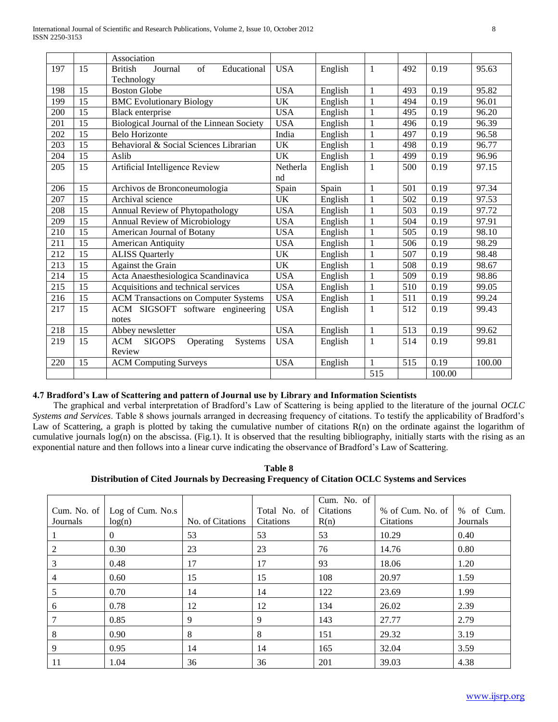|                  |                 | Association                                         |            |         |              |     |        |        |
|------------------|-----------------|-----------------------------------------------------|------------|---------|--------------|-----|--------|--------|
| 197              | 15              | <b>British</b><br>Journal<br>of<br>Educational      | <b>USA</b> | English | 1            | 492 | 0.19   | 95.63  |
|                  |                 | Technology                                          |            |         |              |     |        |        |
| 198              | 15              | <b>Boston Globe</b>                                 | <b>USA</b> | English | $\mathbf{1}$ | 493 | 0.19   | 95.82  |
| 199              | 15              | <b>BMC Evolutionary Biology</b>                     | <b>UK</b>  | English | $\mathbf{1}$ | 494 | 0.19   | 96.01  |
| 200              | 15              | <b>Black enterprise</b>                             | <b>USA</b> | English | $\mathbf{1}$ | 495 | 0.19   | 96.20  |
| 201              | 15              | Biological Journal of the Linnean Society           | <b>USA</b> | English | $\mathbf{1}$ | 496 | 0.19   | 96.39  |
| 202              | 15              | <b>Belo Horizonte</b>                               | India      | English | $\mathbf{1}$ | 497 | 0.19   | 96.58  |
| 203              | 15              | Behavioral & Social Sciences Librarian              | UK         | English | $\mathbf{1}$ | 498 | 0.19   | 96.77  |
| 204              | 15              | Aslib                                               | <b>UK</b>  | English | $\mathbf{1}$ | 499 | 0.19   | 96.96  |
| 205              | 15              | Artificial Intelligence Review                      | Netherla   | English | $\mathbf{1}$ | 500 | 0.19   | 97.15  |
|                  |                 |                                                     | nd         |         |              |     |        |        |
| 206              | 15              | Archivos de Bronconeumologia                        | Spain      | Spain   | $\mathbf{1}$ | 501 | 0.19   | 97.34  |
| 207              | 15              | Archival science                                    | <b>UK</b>  | English | $\mathbf{1}$ | 502 | 0.19   | 97.53  |
| 208              | 15              | Annual Review of Phytopathology                     | <b>USA</b> | English | $\mathbf{1}$ | 503 | 0.19   | 97.72  |
| 209              | $\overline{15}$ | Annual Review of Microbiology                       | <b>USA</b> | English | $\mathbf{1}$ | 504 | 0.19   | 97.91  |
| 210              | 15              | American Journal of Botany                          | <b>USA</b> | English | $\mathbf{1}$ | 505 | 0.19   | 98.10  |
| 211              | 15              | American Antiquity                                  | <b>USA</b> | English | $\mathbf{1}$ | 506 | 0.19   | 98.29  |
| 212              | 15              | <b>ALISS Quarterly</b>                              | UK         | English | $\mathbf{1}$ | 507 | 0.19   | 98.48  |
| $\overline{213}$ | $\overline{15}$ | Against the Grain                                   | <b>UK</b>  | English | $\mathbf{1}$ | 508 | 0.19   | 98.67  |
| 214              | 15              | Acta Anaesthesiologica Scandinavica                 | <b>USA</b> | English | $\mathbf{1}$ | 509 | 0.19   | 98.86  |
| 215              | 15              | Acquisitions and technical services                 | <b>USA</b> | English | $\mathbf{1}$ | 510 | 0.19   | 99.05  |
| 216              | 15              | <b>ACM Transactions on Computer Systems</b>         | <b>USA</b> | English | $\mathbf{1}$ | 511 | 0.19   | 99.24  |
| 217              | 15              | ACM SIGSOFT software engineering                    | <b>USA</b> | English | $\mathbf{1}$ | 512 | 0.19   | 99.43  |
|                  |                 | notes                                               |            |         |              |     |        |        |
| 218              | 15              | Abbey newsletter                                    | <b>USA</b> | English | $\mathbf{1}$ | 513 | 0.19   | 99.62  |
| 219              | 15              | <b>ACM</b><br><b>SIGOPS</b><br>Operating<br>Systems | <b>USA</b> | English | $\mathbf{1}$ | 514 | 0.19   | 99.81  |
|                  |                 | Review                                              |            |         |              |     |        |        |
| 220              | 15              | <b>ACM Computing Surveys</b>                        | <b>USA</b> | English | $\mathbf{1}$ | 515 | 0.19   | 100.00 |
|                  |                 |                                                     |            |         | 515          |     | 100.00 |        |

# **4.7 Bradford's Law of Scattering and pattern of Journal use by Library and Information Scientists**

 The graphical and verbal interpretation of Bradford's Law of Scattering is being applied to the literature of the journal *OCLC Systems and Services*. Table 8 shows journals arranged in decreasing frequency of citations. To testify the applicability of Bradford's Law of Scattering, a graph is plotted by taking the cumulative number of citations R(n) on the ordinate against the logarithm of cumulative journals log(n) on the abscissa. (Fig.1). It is observed that the resulting bibliography, initially starts with the rising as an exponential nature and then follows into a linear curve indicating the observance of Bradford's Law of Scattering.

**Table 8 Distribution of Cited Journals by Decreasing Frequency of Citation OCLC Systems and Services**

| Journals       | Cum. No. of $\vert$ Log of Cum. No.s<br>log(n) | No. of Citations | Total No. of<br><b>Citations</b> | Cum. No. of<br>Citations<br>R(n) | % of Cum. No. of $\vert \%$ of Cum.<br><b>Citations</b> | Journals |
|----------------|------------------------------------------------|------------------|----------------------------------|----------------------------------|---------------------------------------------------------|----------|
|                | $\theta$                                       | 53               | 53                               | 53                               | 10.29                                                   | 0.40     |
| 2              | 0.30                                           | 23               | 23                               | 76                               | 14.76                                                   | 0.80     |
| 3              | 0.48                                           | 17               | 17                               | 93                               | 18.06                                                   | 1.20     |
| $\overline{4}$ | 0.60                                           | 15               | 15                               | 108                              | 20.97                                                   | 1.59     |
| 5              | 0.70                                           | 14               | 14                               | 122                              | 23.69                                                   | 1.99     |
| 6              | 0.78                                           | 12               | 12                               | 134                              | 26.02                                                   | 2.39     |
| 7              | 0.85                                           | 9                | 9                                | 143                              | 27.77                                                   | 2.79     |
| 8              | 0.90                                           | 8                | 8                                | 151                              | 29.32                                                   | 3.19     |
| 9              | 0.95                                           | 14               | 14                               | 165                              | 32.04                                                   | 3.59     |
| 11             | 1.04                                           | 36               | 36                               | 201                              | 39.03                                                   | 4.38     |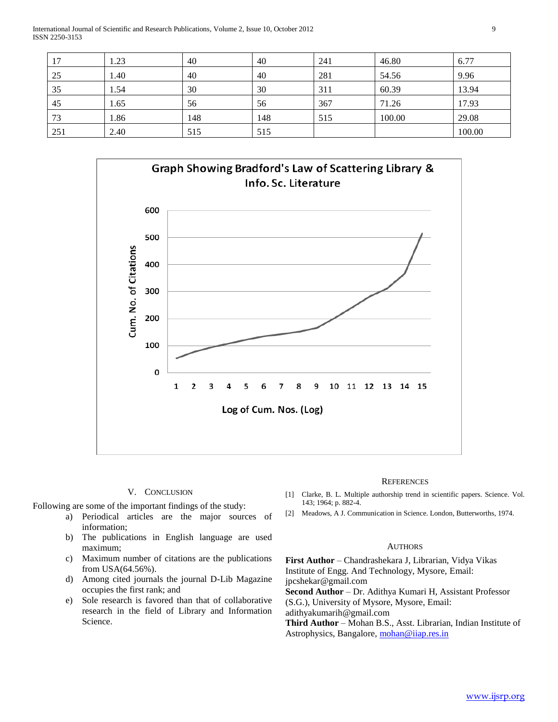International Journal of Scientific and Research Publications, Volume 2, Issue 10, October 2012 9 ISSN 2250-3153

| 17  | 1.23 | 40  | 40  | 241 | 46.80  | 6.77   |
|-----|------|-----|-----|-----|--------|--------|
| 25  | 1.40 | 40  | 40  | 281 | 54.56  | 9.96   |
| 35  | l.54 | 30  | 30  | 311 | 60.39  | 13.94  |
| 45  | 1.65 | 56  | 56  | 367 | 71.26  | 17.93  |
| 73  | 1.86 | 148 | 148 | 515 | 100.00 | 29.08  |
| 251 | 2.40 | 515 | 515 |     |        | 100.00 |



## V. CONCLUSION

Following are some of the important findings of the study:

- a) Periodical articles are the major sources of information;
- b) The publications in English language are used maximum;
- c) Maximum number of citations are the publications from USA(64.56%).
- d) Among cited journals the journal D-Lib Magazine occupies the first rank; and
- e) Sole research is favored than that of collaborative research in the field of Library and Information Science.

#### **REFERENCES**

- [1] Clarke, B. L. Multiple authorship trend in scientific papers. Science. Vol. 143; 1964; p. 882-4.
- [2] Meadows, A J. Communication in Science. London, Butterworths, 1974.

#### **AUTHORS**

**First Author** – Chandrashekara J, Librarian, Vidya Vikas Institute of Engg. And Technology, Mysore, Email: jpcshekar@gmail.com **Second Author** – Dr. Adithya Kumari H, Assistant Professor (S.G.), University of Mysore, Mysore, Email: adithyakumarih@gmail.com

**Third Author** – Mohan B.S., Asst. Librarian, Indian Institute of Astrophysics, Bangalore, [mohan@iiap.res.in](mailto:mohan@iiap.res.in)